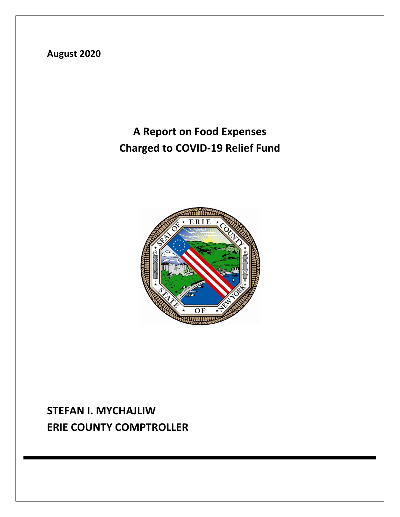**August 2020**

## **A Report on Food Expenses Charged to COVID-19 Relief Fund**



## **STEFAN I. MYCHAJLIW ERIE COUNTY COMPTROLLER**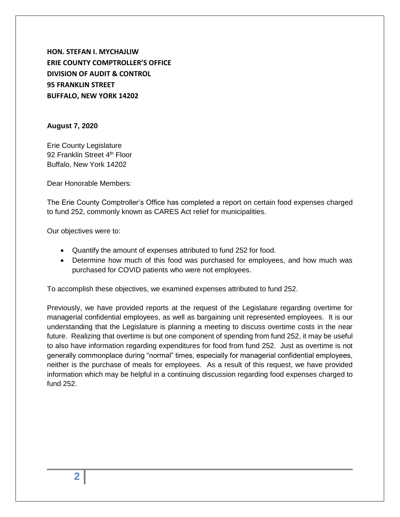**HON. STEFAN I. MYCHAJLIW ERIE COUNTY COMPTROLLER'S OFFICE DIVISION OF AUDIT & CONTROL 95 FRANKLIN STREET BUFFALO, NEW YORK 14202**

#### **August 7, 2020**

Erie County Legislature 92 Franklin Street 4<sup>th</sup> Floor Buffalo, New York 14202

Dear Honorable Members:

The Erie County Comptroller's Office has completed a report on certain food expenses charged to fund 252, commonly known as CARES Act relief for municipalities.

Our objectives were to:

- Quantify the amount of expenses attributed to fund 252 for food.
- Determine how much of this food was purchased for employees, and how much was purchased for COVID patients who were not employees.

To accomplish these objectives, we examined expenses attributed to fund 252.

Previously, we have provided reports at the request of the Legislature regarding overtime for managerial confidential employees, as well as bargaining unit represented employees. It is our understanding that the Legislature is planning a meeting to discuss overtime costs in the near future. Realizing that overtime is but one component of spending from fund 252, it may be useful to also have information regarding expenditures for food from fund 252. Just as overtime is not generally commonplace during "normal" times, especially for managerial confidential employees, neither is the purchase of meals for employees. As a result of this request, we have provided information which may be helpful in a continuing discussion regarding food expenses charged to fund 252.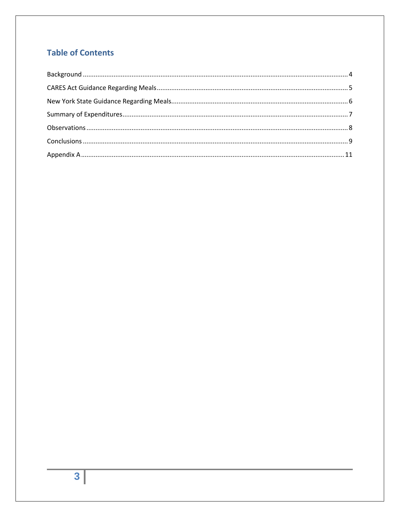### **Table of Contents**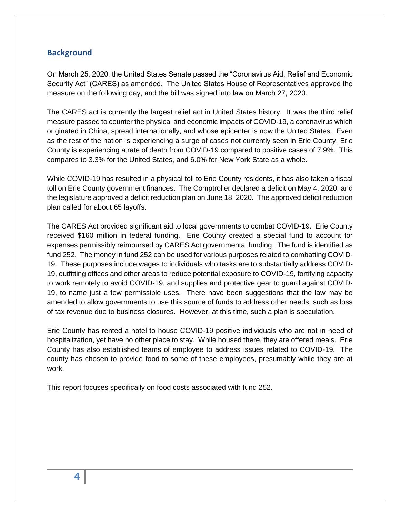#### <span id="page-3-0"></span>**Background**

On March 25, 2020, the United States Senate passed the "Coronavirus Aid, Relief and Economic Security Act" (CARES) as amended. The United States House of Representatives approved the measure on the following day, and the bill was signed into law on March 27, 2020.

The CARES act is currently the largest relief act in United States history. It was the third relief measure passed to counter the physical and economic impacts of COVID-19, a coronavirus which originated in China, spread internationally, and whose epicenter is now the United States. Even as the rest of the nation is experiencing a surge of cases not currently seen in Erie County, Erie County is experiencing a rate of death from COVID-19 compared to positive cases of 7.9%. This compares to 3.3% for the United States, and 6.0% for New York State as a whole.

While COVID-19 has resulted in a physical toll to Erie County residents, it has also taken a fiscal toll on Erie County government finances. The Comptroller declared a deficit on May 4, 2020, and the legislature approved a deficit reduction plan on June 18, 2020. The approved deficit reduction plan called for about 65 layoffs.

The CARES Act provided significant aid to local governments to combat COVID-19. Erie County received \$160 million in federal funding. Erie County created a special fund to account for expenses permissibly reimbursed by CARES Act governmental funding. The fund is identified as fund 252. The money in fund 252 can be used for various purposes related to combatting COVID-19. These purposes include wages to individuals who tasks are to substantially address COVID-19, outfitting offices and other areas to reduce potential exposure to COVID-19, fortifying capacity to work remotely to avoid COVID-19, and supplies and protective gear to guard against COVID-19, to name just a few permissible uses. There have been suggestions that the law may be amended to allow governments to use this source of funds to address other needs, such as loss of tax revenue due to business closures. However, at this time, such a plan is speculation.

Erie County has rented a hotel to house COVID-19 positive individuals who are not in need of hospitalization, yet have no other place to stay. While housed there, they are offered meals. Erie County has also established teams of employee to address issues related to COVID-19. The county has chosen to provide food to some of these employees, presumably while they are at work.

This report focuses specifically on food costs associated with fund 252.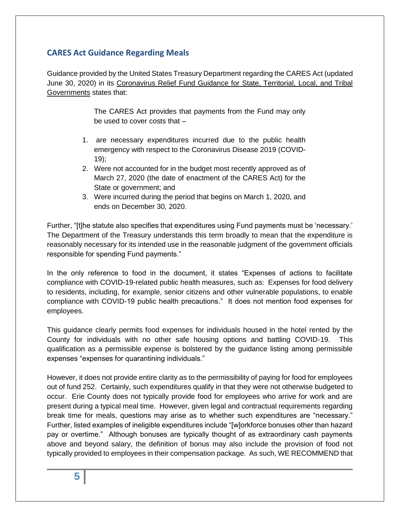#### <span id="page-4-0"></span>**CARES Act Guidance Regarding Meals**

Guidance provided by the United States Treasury Department regarding the CARES Act (updated June 30, 2020) in its Coronavirus Relief Fund Guidance for State, Territorial, Local, and Tribal Governments states that:

> The CARES Act provides that payments from the Fund may only be used to cover costs that –

- 1. are necessary expenditures incurred due to the public health emergency with respect to the Coronavirus Disease 2019 (COVID-19);
- 2. Were not accounted for in the budget most recently approved as of March 27, 2020 (the date of enactment of the CARES Act) for the State or government; and
- 3. Were incurred during the period that begins on March 1, 2020, and ends on December 30, 2020.

Further, "[t]he statute also specifies that expenditures using Fund payments must be 'necessary.' The Department of the Treasury understands this term broadly to mean that the expenditure is reasonably necessary for its intended use in the reasonable judgment of the government officials responsible for spending Fund payments."

In the only reference to food in the document, it states "Expenses of actions to facilitate compliance with COVID-19-related public health measures, such as: Expenses for food delivery to residents, including, for example, senior citizens and other vulnerable populations, to enable compliance with COVID-19 public health precautions." It does not mention food expenses for employees.

This guidance clearly permits food expenses for individuals housed in the hotel rented by the County for individuals with no other safe housing options and battling COVID-19. This qualification as a permissible expense is bolstered by the guidance listing among permissible expenses "expenses for quarantining individuals."

However, it does not provide entire clarity as to the permissibility of paying for food for employees out of fund 252. Certainly, such expenditures qualify in that they were not otherwise budgeted to occur. Erie County does not typically provide food for employees who arrive for work and are present during a typical meal time. However, given legal and contractual requirements regarding break time for meals, questions may arise as to whether such expenditures are "necessary." Further, listed examples of ineligible expenditures include "[w]orkforce bonuses other than hazard pay or overtime." Although bonuses are typically thought of as extraordinary cash payments above and beyond salary, the definition of bonus may also include the provision of food not typically provided to employees in their compensation package. As such, WE RECOMMEND that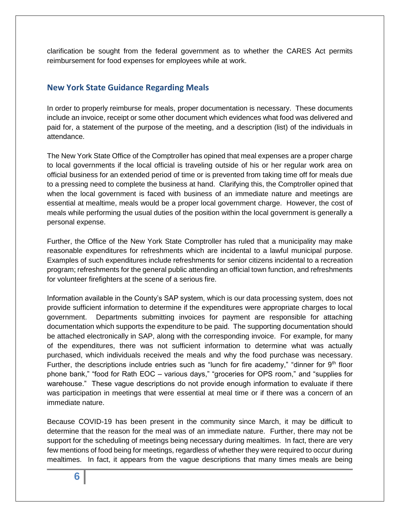clarification be sought from the federal government as to whether the CARES Act permits reimbursement for food expenses for employees while at work.

#### <span id="page-5-0"></span>**New York State Guidance Regarding Meals**

In order to properly reimburse for meals, proper documentation is necessary. These documents include an invoice, receipt or some other document which evidences what food was delivered and paid for, a statement of the purpose of the meeting, and a description (list) of the individuals in attendance.

The New York State Office of the Comptroller has opined that meal expenses are a proper charge to local governments if the local official is traveling outside of his or her regular work area on official business for an extended period of time or is prevented from taking time off for meals due to a pressing need to complete the business at hand. Clarifying this, the Comptroller opined that when the local government is faced with business of an immediate nature and meetings are essential at mealtime, meals would be a proper local government charge. However, the cost of meals while performing the usual duties of the position within the local government is generally a personal expense.

Further, the Office of the New York State Comptroller has ruled that a municipality may make reasonable expenditures for refreshments which are incidental to a lawful municipal purpose. Examples of such expenditures include refreshments for senior citizens incidental to a recreation program; refreshments for the general public attending an official town function, and refreshments for volunteer firefighters at the scene of a serious fire.

Information available in the County's SAP system, which is our data processing system, does not provide sufficient information to determine if the expenditures were appropriate charges to local government. Departments submitting invoices for payment are responsible for attaching documentation which supports the expenditure to be paid. The supporting documentation should be attached electronically in SAP, along with the corresponding invoice. For example, for many of the expenditures, there was not sufficient information to determine what was actually purchased, which individuals received the meals and why the food purchase was necessary. Further, the descriptions include entries such as "lunch for fire academy," "dinner for  $9<sup>th</sup>$  floor phone bank," "food for Rath EOC – various days," "groceries for OPS room," and "supplies for warehouse." These vague descriptions do not provide enough information to evaluate if there was participation in meetings that were essential at meal time or if there was a concern of an immediate nature.

Because COVID-19 has been present in the community since March, it may be difficult to determine that the reason for the meal was of an immediate nature. Further, there may not be support for the scheduling of meetings being necessary during mealtimes. In fact, there are very few mentions of food being for meetings, regardless of whether they were required to occur during mealtimes. In fact, it appears from the vague descriptions that many times meals are being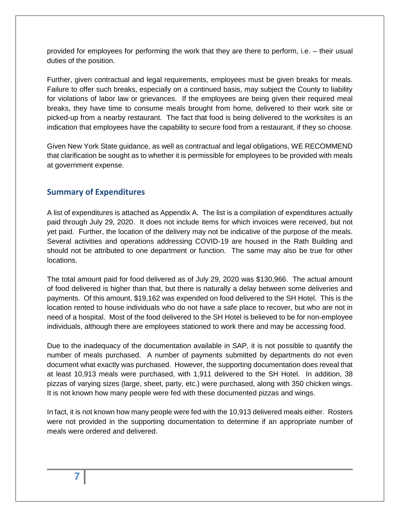provided for employees for performing the work that they are there to perform, i.e. – their usual duties of the position.

Further, given contractual and legal requirements, employees must be given breaks for meals. Failure to offer such breaks, especially on a continued basis, may subject the County to liability for violations of labor law or grievances. If the employees are being given their required meal breaks, they have time to consume meals brought from home, delivered to their work site or picked-up from a nearby restaurant. The fact that food is being delivered to the worksites is an indication that employees have the capability to secure food from a restaurant, if they so choose.

Given New York State guidance, as well as contractual and legal obligations, WE RECOMMEND that clarification be sought as to whether it is permissible for employees to be provided with meals at government expense.

#### <span id="page-6-0"></span>**Summary of Expenditures**

A list of expenditures is attached as Appendix A. The list is a compilation of expenditures actually paid through July 29, 2020. It does not include items for which invoices were received, but not yet paid. Further, the location of the delivery may not be indicative of the purpose of the meals. Several activities and operations addressing COVID-19 are housed in the Rath Building and should not be attributed to one department or function. The same may also be true for other locations.

The total amount paid for food delivered as of July 29, 2020 was \$130,966. The actual amount of food delivered is higher than that, but there is naturally a delay between some deliveries and payments. Of this amount, \$19,162 was expended on food delivered to the SH Hotel. This is the location rented to house individuals who do not have a safe place to recover, but who are not in need of a hospital. Most of the food delivered to the SH Hotel is believed to be for non-employee individuals, although there are employees stationed to work there and may be accessing food.

Due to the inadequacy of the documentation available in SAP, it is not possible to quantify the number of meals purchased. A number of payments submitted by departments do not even document what exactly was purchased. However, the supporting documentation does reveal that at least 10,913 meals were purchased, with 1,911 delivered to the SH Hotel. In addition, 38 pizzas of varying sizes (large, sheet, party, etc.) were purchased, along with 350 chicken wings. It is not known how many people were fed with these documented pizzas and wings.

In fact, it is not known how many people were fed with the 10,913 delivered meals either. Rosters were not provided in the supporting documentation to determine if an appropriate number of meals were ordered and delivered.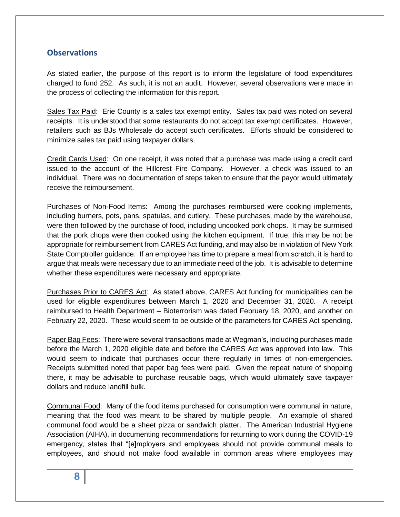#### <span id="page-7-0"></span>**Observations**

As stated earlier, the purpose of this report is to inform the legislature of food expenditures charged to fund 252. As such, it is not an audit. However, several observations were made in the process of collecting the information for this report.

Sales Tax Paid: Erie County is a sales tax exempt entity. Sales tax paid was noted on several receipts. It is understood that some restaurants do not accept tax exempt certificates. However, retailers such as BJs Wholesale do accept such certificates. Efforts should be considered to minimize sales tax paid using taxpayer dollars.

Credit Cards Used: On one receipt, it was noted that a purchase was made using a credit card issued to the account of the Hillcrest Fire Company. However, a check was issued to an individual. There was no documentation of steps taken to ensure that the payor would ultimately receive the reimbursement.

Purchases of Non-Food Items: Among the purchases reimbursed were cooking implements, including burners, pots, pans, spatulas, and cutlery. These purchases, made by the warehouse, were then followed by the purchase of food, including uncooked pork chops. It may be surmised that the pork chops were then cooked using the kitchen equipment. If true, this may be not be appropriate for reimbursement from CARES Act funding, and may also be in violation of New York State Comptroller guidance. If an employee has time to prepare a meal from scratch, it is hard to argue that meals were necessary due to an immediate need of the job. It is advisable to determine whether these expenditures were necessary and appropriate.

Purchases Prior to CARES Act: As stated above, CARES Act funding for municipalities can be used for eligible expenditures between March 1, 2020 and December 31, 2020. A receipt reimbursed to Health Department – Bioterrorism was dated February 18, 2020, and another on February 22, 2020. These would seem to be outside of the parameters for CARES Act spending.

Paper Bag Fees: There were several transactions made at Wegman's, including purchases made before the March 1, 2020 eligible date and before the CARES Act was approved into law. This would seem to indicate that purchases occur there regularly in times of non-emergencies. Receipts submitted noted that paper bag fees were paid. Given the repeat nature of shopping there, it may be advisable to purchase reusable bags, which would ultimately save taxpayer dollars and reduce landfill bulk.

Communal Food: Many of the food items purchased for consumption were communal in nature, meaning that the food was meant to be shared by multiple people. An example of shared communal food would be a sheet pizza or sandwich platter. The American Industrial Hygiene Association (AIHA), in documenting recommendations for returning to work during the COVID-19 emergency, states that "[e]mployers and employees should not provide communal meals to employees, and should not make food available in common areas where employees may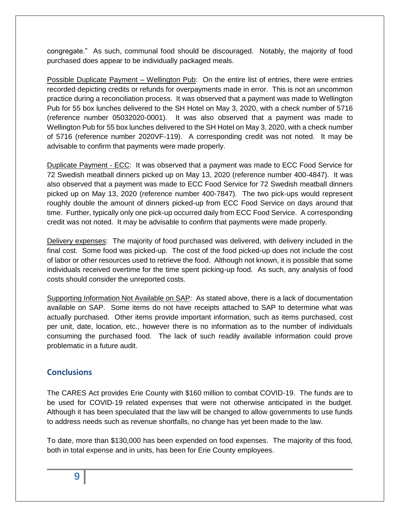congregate." As such, communal food should be discouraged. Notably, the majority of food purchased does appear to be individually packaged meals.

Possible Duplicate Payment – Wellington Pub: On the entire list of entries, there were entries recorded depicting credits or refunds for overpayments made in error. This is not an uncommon practice during a reconciliation process. It was observed that a payment was made to Wellington Pub for 55 box lunches delivered to the SH Hotel on May 3, 2020, with a check number of 5716 (reference number 05032020-0001). It was also observed that a payment was made to Wellington Pub for 55 box lunches delivered to the SH Hotel on May 3, 2020, with a check number of 5716 (reference number 2020VF-119). A corresponding credit was not noted. It may be advisable to confirm that payments were made properly.

Duplicate Payment - ECC: It was observed that a payment was made to ECC Food Service for 72 Swedish meatball dinners picked up on May 13, 2020 (reference number 400-4847). It was also observed that a payment was made to ECC Food Service for 72 Swedish meatball dinners picked up on May 13, 2020 (reference number 400-7847). The two pick-ups would represent roughly double the amount of dinners picked-up from ECC Food Service on days around that time. Further, typically only one pick-up occurred daily from ECC Food Service. A corresponding credit was not noted. It may be advisable to confirm that payments were made properly.

Delivery expenses: The majority of food purchased was delivered, with delivery included in the final cost. Some food was picked-up. The cost of the food picked-up does not include the cost of labor or other resources used to retrieve the food. Although not known, it is possible that some individuals received overtime for the time spent picking-up food. As such, any analysis of food costs should consider the unreported costs.

Supporting Information Not Available on SAP: As stated above, there is a lack of documentation available on SAP. Some items do not have receipts attached to SAP to determine what was actually purchased. Other items provide important information, such as items purchased, cost per unit, date, location, etc., however there is no information as to the number of individuals consuming the purchased food. The lack of such readily available information could prove problematic in a future audit.

#### <span id="page-8-0"></span>**Conclusions**

The CARES Act provides Erie County with \$160 million to combat COVID-19. The funds are to be used for COVID-19 related expenses that were not otherwise anticipated in the budget. Although it has been speculated that the law will be changed to allow governments to use funds to address needs such as revenue shortfalls, no change has yet been made to the law.

To date, more than \$130,000 has been expended on food expenses. The majority of this food, both in total expense and in units, has been for Erie County employees.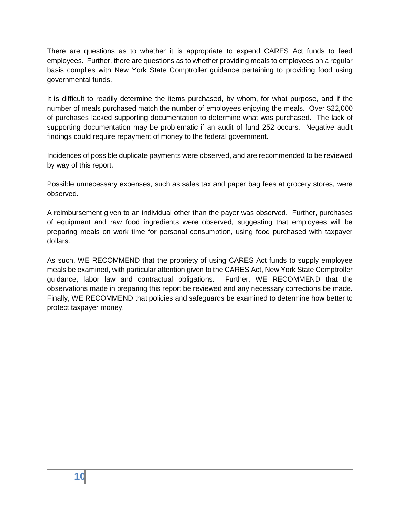There are questions as to whether it is appropriate to expend CARES Act funds to feed employees. Further, there are questions as to whether providing meals to employees on a regular basis complies with New York State Comptroller guidance pertaining to providing food using governmental funds.

It is difficult to readily determine the items purchased, by whom, for what purpose, and if the number of meals purchased match the number of employees enjoying the meals. Over \$22,000 of purchases lacked supporting documentation to determine what was purchased. The lack of supporting documentation may be problematic if an audit of fund 252 occurs. Negative audit findings could require repayment of money to the federal government.

Incidences of possible duplicate payments were observed, and are recommended to be reviewed by way of this report.

Possible unnecessary expenses, such as sales tax and paper bag fees at grocery stores, were observed.

A reimbursement given to an individual other than the payor was observed. Further, purchases of equipment and raw food ingredients were observed, suggesting that employees will be preparing meals on work time for personal consumption, using food purchased with taxpayer dollars.

As such, WE RECOMMEND that the propriety of using CARES Act funds to supply employee meals be examined, with particular attention given to the CARES Act, New York State Comptroller guidance, labor law and contractual obligations. Further, WE RECOMMEND that the observations made in preparing this report be reviewed and any necessary corrections be made. Finally, WE RECOMMEND that policies and safeguards be examined to determine how better to protect taxpayer money.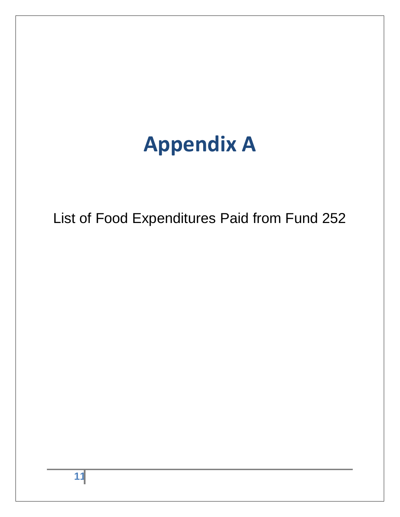# **Appendix A**

<span id="page-10-0"></span>List of Food Expenditures Paid from Fund 252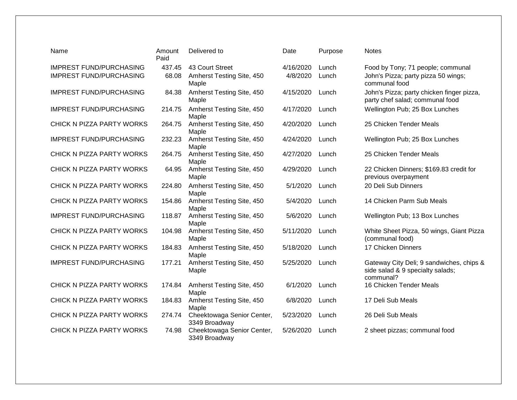| Name                           | Amount<br>Paid | Delivered to                                | Date      | Purpose | <b>Notes</b>                                                                              |
|--------------------------------|----------------|---------------------------------------------|-----------|---------|-------------------------------------------------------------------------------------------|
| <b>IMPREST FUND/PURCHASING</b> | 437.45         | 43 Court Street                             | 4/16/2020 | Lunch   | Food by Tony; 71 people; communal                                                         |
| <b>IMPREST FUND/PURCHASING</b> | 68.08          | Amherst Testing Site, 450<br>Maple          | 4/8/2020  | Lunch   | John's Pizza; party pizza 50 wings;<br>communal food                                      |
| <b>IMPREST FUND/PURCHASING</b> | 84.38          | Amherst Testing Site, 450<br>Maple          | 4/15/2020 | Lunch   | John's Pizza; party chicken finger pizza,<br>party chef salad; communal food              |
| <b>IMPREST FUND/PURCHASING</b> | 214.75         | Amherst Testing Site, 450<br>Maple          | 4/17/2020 | Lunch   | Wellington Pub; 25 Box Lunches                                                            |
| CHICK N PIZZA PARTY WORKS      | 264.75         | Amherst Testing Site, 450<br>Maple          | 4/20/2020 | Lunch   | 25 Chicken Tender Meals                                                                   |
| <b>IMPREST FUND/PURCHASING</b> | 232.23         | Amherst Testing Site, 450<br>Maple          | 4/24/2020 | Lunch   | Wellington Pub; 25 Box Lunches                                                            |
| CHICK N PIZZA PARTY WORKS      | 264.75         | Amherst Testing Site, 450<br>Maple          | 4/27/2020 | Lunch   | 25 Chicken Tender Meals                                                                   |
| CHICK N PIZZA PARTY WORKS      | 64.95          | Amherst Testing Site, 450<br>Maple          | 4/29/2020 | Lunch   | 22 Chicken Dinners; \$169.83 credit for<br>previous overpayment                           |
| CHICK N PIZZA PARTY WORKS      | 224.80         | Amherst Testing Site, 450<br>Maple          | 5/1/2020  | Lunch   | 20 Deli Sub Dinners                                                                       |
| CHICK N PIZZA PARTY WORKS      | 154.86         | Amherst Testing Site, 450<br>Maple          | 5/4/2020  | Lunch   | 14 Chicken Parm Sub Meals                                                                 |
| <b>IMPREST FUND/PURCHASING</b> | 118.87         | Amherst Testing Site, 450<br>Maple          | 5/6/2020  | Lunch   | Wellington Pub; 13 Box Lunches                                                            |
| CHICK N PIZZA PARTY WORKS      | 104.98         | Amherst Testing Site, 450<br>Maple          | 5/11/2020 | Lunch   | White Sheet Pizza, 50 wings, Giant Pizza<br>(communal food)                               |
| CHICK N PIZZA PARTY WORKS      | 184.83         | Amherst Testing Site, 450<br>Maple          | 5/18/2020 | Lunch   | 17 Chicken Dinners                                                                        |
| <b>IMPREST FUND/PURCHASING</b> | 177.21         | Amherst Testing Site, 450<br>Maple          | 5/25/2020 | Lunch   | Gateway City Deli; 9 sandwiches, chips &<br>side salad & 9 specialty salads;<br>communal? |
| CHICK N PIZZA PARTY WORKS      | 174.84         | Amherst Testing Site, 450<br>Maple          | 6/1/2020  | Lunch   | 16 Chicken Tender Meals                                                                   |
| CHICK N PIZZA PARTY WORKS      | 184.83         | Amherst Testing Site, 450<br>Maple          | 6/8/2020  | Lunch   | 17 Deli Sub Meals                                                                         |
| CHICK N PIZZA PARTY WORKS      | 274.74         | Cheektowaga Senior Center,<br>3349 Broadway | 5/23/2020 | Lunch   | 26 Deli Sub Meals                                                                         |
| CHICK N PIZZA PARTY WORKS      | 74.98          | Cheektowaga Senior Center,<br>3349 Broadway | 5/26/2020 | Lunch   | 2 sheet pizzas; communal food                                                             |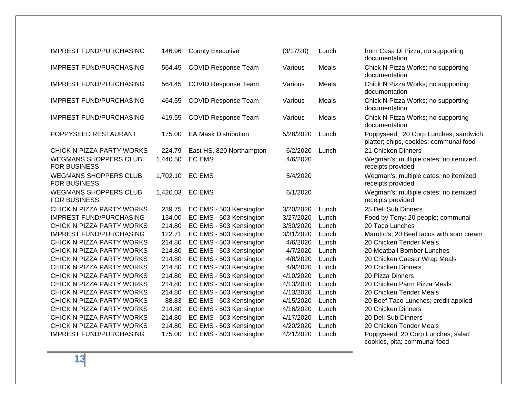| <b>IMPREST FUND/PURCHASING</b>                                                   | 146.96             | <b>County Executive</b>                   | (3/17/20)            | Lunch |
|----------------------------------------------------------------------------------|--------------------|-------------------------------------------|----------------------|-------|
| <b>IMPREST FUND/PURCHASING</b>                                                   | 564.45             | <b>COVID Response Team</b>                | Various              | Meals |
| <b>IMPREST FUND/PURCHASING</b>                                                   | 564.45             | <b>COVID Response Team</b>                | Various              | Meals |
| <b>IMPREST FUND/PURCHASING</b>                                                   | 464.55             | <b>COVID Response Team</b>                | Various              | Meals |
| <b>IMPREST FUND/PURCHASING</b>                                                   | 419.55             | <b>COVID Response Team</b>                | Various              | Meals |
| POPPYSEED RESTAURANT                                                             | 175.00             | <b>EA Mask Distribution</b>               | 5/28/2020            | Lunch |
| CHICK N PIZZA PARTY WORKS<br><b>WEGMANS SHOPPERS CLUB</b><br><b>FOR BUSINESS</b> | 224.79<br>1,440.50 | East HS, 820 Northampton<br><b>EC EMS</b> | 6/2/2020<br>4/6/2020 | Lunch |
| <b>WEGMANS SHOPPERS CLUB</b><br><b>FOR BUSINESS</b>                              | 1,702.10           | <b>EC EMS</b>                             | 5/4/2020             |       |
| <b>WEGMANS SHOPPERS CLUB</b><br><b>FOR BUSINESS</b>                              | 1,420.03           | <b>EC EMS</b>                             | 6/1/2020             |       |
| CHICK N PIZZA PARTY WORKS                                                        | 239.75             | EC EMS - 503 Kensington                   | 3/20/2020            | Lunch |
| <b>IMPREST FUND/PURCHASING</b>                                                   | 134.00             | EC EMS - 503 Kensington                   | 3/27/2020            | Lunch |
| CHICK N PIZZA PARTY WORKS                                                        | 214.80             | EC EMS - 503 Kensington                   | 3/30/2020            | Lunch |
| <b>IMPREST FUND/PURCHASING</b>                                                   | 122.71             | EC EMS - 503 Kensington                   | 3/31/2020            | Lunch |
| <b>CHICK N PIZZA PARTY WORKS</b>                                                 | 214.80             | EC EMS - 503 Kensington                   | 4/6/2020             | Lunch |
| CHICK N PIZZA PARTY WORKS                                                        | 214.80             | EC EMS - 503 Kensington                   | 4/7/2020             | Lunch |
| CHICK N PIZZA PARTY WORKS                                                        | 214.80             | EC EMS - 503 Kensington                   | 4/8/2020             | Lunch |
| CHICK N PIZZA PARTY WORKS                                                        | 214.80             | EC EMS - 503 Kensington                   | 4/9/2020             | Lunch |
| CHICK N PIZZA PARTY WORKS                                                        | 214.80             | EC EMS - 503 Kensington                   | 4/10/2020            | Lunch |
| CHICK N PIZZA PARTY WORKS                                                        | 214.80             | EC EMS - 503 Kensington                   | 4/13/2020            | Lunch |
| CHICK N PIZZA PARTY WORKS                                                        | 214.80             | EC EMS - 503 Kensington                   | 4/13/2020            | Lunch |
| CHICK N PIZZA PARTY WORKS                                                        | 88.83              | EC EMS - 503 Kensington                   | 4/15/2020            | Lunch |
| CHICK N PIZZA PARTY WORKS                                                        | 214.80             | EC EMS - 503 Kensington                   | 4/16/2020            | Lunch |
| CHICK N PIZZA PARTY WORKS                                                        | 214.80             | EC EMS - 503 Kensington                   | 4/17/2020            | Lunch |
| CHICK N PIZZA PARTY WORKS                                                        | 214.80             | EC EMS - 503 Kensington                   | 4/20/2020            | Lunch |
| <b>IMPREST FUND/PURCHASING</b>                                                   | 175.00             | EC EMS - 503 Kensington                   | 4/21/2020            | Lunch |
|                                                                                  |                    |                                           |                      |       |

from Casa Di Pizza; no supporting documentation Chick N Pizza Works; no supporting documentation Chick N Pizza Works; no supporting documentation Chick N Pizza Works; no supporting documentation Chick N Pizza Works; no supporting documentation Poppyseed; 20 Corp Lunches, sandwich platter; chips, cookies; communal food 21 Chicken Dinners Wegman's; multiple dates; no itemized receipts provided Wegman's; multiple dates; no itemized receipts provided Wegman's; multiple dates; no itemized receipts provided 25 Deli Sub Dinners Food by Tony; 20 people; communal 20 Taco Lunches Marotto's: 20 Beef tacos with sour cream 20 Chicken Tender Meals 20 Meatball Bomber Lunches 20 Chicken Caesar Wrap Meals 20 Chicken Dinners 20 Pizza Dinners 20 Chicken Parm Pizza Meals 20 Chicken Tender Meals 20 Beef Taco Lunches; credit applied 20 Chicken Dinners 20 Deli Sub Dinners 20 Chicken Tender Meals Poppyseed; 20 Corp Lunches, salad cookies, pita; communal food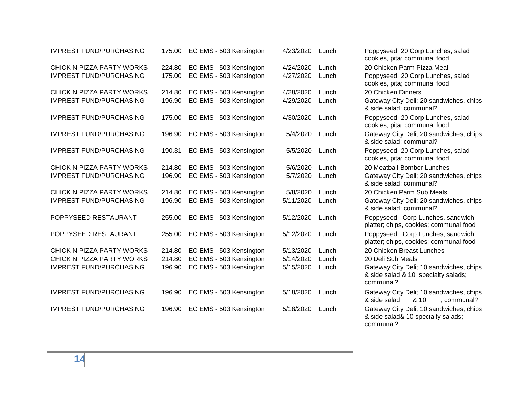| <b>IMPREST FUND/PURCHASING</b>                                                           | 175.00                     | EC EMS - 503 Kensington                                                       | 4/23/2020                           | Lunch                   |
|------------------------------------------------------------------------------------------|----------------------------|-------------------------------------------------------------------------------|-------------------------------------|-------------------------|
| CHICK N PIZZA PARTY WORKS<br><b>IMPREST FUND/PURCHASING</b>                              | 224.80<br>175.00           | EC EMS - 503 Kensington<br>EC EMS - 503 Kensington                            | 4/24/2020<br>4/27/2020              | Lunch<br>Lunch          |
| CHICK N PIZZA PARTY WORKS<br><b>IMPREST FUND/PURCHASING</b>                              | 214.80<br>196.90           | EC EMS - 503 Kensington<br>EC EMS - 503 Kensington                            | 4/28/2020<br>4/29/2020              | Lunch<br>Lunch          |
| <b>IMPREST FUND/PURCHASING</b>                                                           | 175.00                     | EC EMS - 503 Kensington                                                       | 4/30/2020                           | Lunch                   |
| <b>IMPREST FUND/PURCHASING</b>                                                           | 196.90                     | EC EMS - 503 Kensington                                                       | 5/4/2020                            | Lunch                   |
| <b>IMPREST FUND/PURCHASING</b>                                                           | 190.31                     | EC EMS - 503 Kensington                                                       | 5/5/2020                            | Lunch                   |
| CHICK N PIZZA PARTY WORKS<br><b>IMPREST FUND/PURCHASING</b>                              | 214.80<br>196.90           | EC EMS - 503 Kensington<br>EC EMS - 503 Kensington                            | 5/6/2020<br>5/7/2020                | Lunch<br>Lunch          |
| CHICK N PIZZA PARTY WORKS<br><b>IMPREST FUND/PURCHASING</b>                              | 214.80<br>196.90           | EC EMS - 503 Kensington<br>EC EMS - 503 Kensington                            | 5/8/2020<br>5/11/2020               | Lunch<br>Lunch          |
| POPPYSEED RESTAURANT                                                                     | 255.00                     | EC EMS - 503 Kensington                                                       | 5/12/2020                           | Lunch                   |
| POPPYSEED RESTAURANT                                                                     | 255.00                     | EC EMS - 503 Kensington                                                       | 5/12/2020                           | Lunch                   |
| CHICK N PIZZA PARTY WORKS<br>CHICK N PIZZA PARTY WORKS<br><b>IMPREST FUND/PURCHASING</b> | 214.80<br>214.80<br>196.90 | EC EMS - 503 Kensington<br>EC EMS - 503 Kensington<br>EC EMS - 503 Kensington | 5/13/2020<br>5/14/2020<br>5/15/2020 | Lunch<br>Lunch<br>Lunch |
| <b>IMPREST FUND/PURCHASING</b>                                                           | 196.90                     | EC EMS - 503 Kensington                                                       | 5/18/2020                           | Lunch                   |
| <b>IMPREST FUND/PURCHASING</b>                                                           | 196.90                     | EC EMS - 503 Kensington                                                       | 5/18/2020                           | Lunch                   |
|                                                                                          |                            |                                                                               |                                     |                         |

Poppyseed; 20 Corp Lunches, salad cookies, pita; communal food 20 Chicken Parm Pizza Meal Poppyseed; 20 Corp Lunches, salad cookies, pita; communal food 20 Chicken Dinners Gateway City Deli; 20 sandwiches, chips & side salad; communal? Poppyseed; 20 Corp Lunches, salad cookies, pita; communal food Gateway City Deli; 20 sandwiches, chips & side salad; communal? Poppyseed; 20 Corp Lunches, salad cookies, pita; communal food 20 Meatball Bomber Lunches Gateway City Deli; 20 sandwiches, chips & side salad; communal? 20 Chicken Parm Sub Meals Gateway City Deli; 20 sandwiches, chips & side salad; communal? Poppyseed; Corp Lunches, sandwich platter; chips, cookies; communal food Poppyseed: Corp Lunches, sandwich platter; chips, cookies; communal food 20 Chicken Breast Lunches 20 Deli Sub Meals Gateway City Deli; 10 sandwiches, chips & side salad & 10 specialty salads; communal? Gateway City Deli; 10 sandwiches, chips & side salad & 10 ; communal? Gateway City Deli; 10 sandwiches, chips & side salad& 10 specialty salads; communal?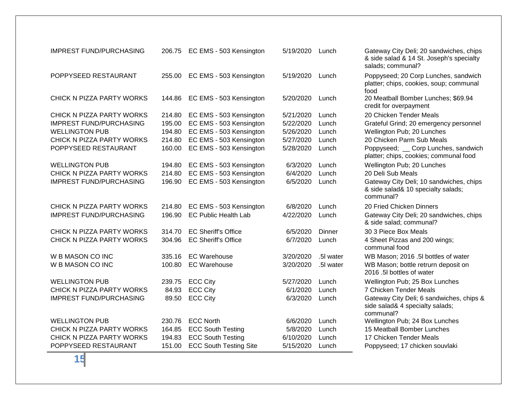| <b>IMPREST FUND/PURCHASING</b> | 206.75 | EC EMS - 503 Kensington       | 5/19/2020 | Lunch         |
|--------------------------------|--------|-------------------------------|-----------|---------------|
| POPPYSEED RESTAURANT           | 255.00 | EC EMS - 503 Kensington       | 5/19/2020 | Lunch         |
| CHICK N PIZZA PARTY WORKS      | 144.86 | EC EMS - 503 Kensington       | 5/20/2020 | Lunch         |
| CHICK N PIZZA PARTY WORKS      | 214.80 | EC EMS - 503 Kensington       | 5/21/2020 | Lunch         |
| <b>IMPREST FUND/PURCHASING</b> | 195.00 | EC EMS - 503 Kensington       | 5/22/2020 | Lunch         |
| <b>WELLINGTON PUB</b>          | 194.80 | EC EMS - 503 Kensington       | 5/26/2020 | Lunch         |
| CHICK N PIZZA PARTY WORKS      | 214.80 | EC EMS - 503 Kensington       | 5/27/2020 | Lunch         |
| POPPYSEED RESTAURANT           | 160.00 | EC EMS - 503 Kensington       | 5/28/2020 | Lunch         |
| <b>WELLINGTON PUB</b>          | 194.80 | EC EMS - 503 Kensington       | 6/3/2020  | Lunch         |
| CHICK N PIZZA PARTY WORKS      | 214.80 | EC EMS - 503 Kensington       | 6/4/2020  | Lunch         |
| <b>IMPREST FUND/PURCHASING</b> | 196.90 | EC EMS - 503 Kensington       | 6/5/2020  | Lunch         |
| CHICK N PIZZA PARTY WORKS      | 214.80 | EC EMS - 503 Kensington       | 6/8/2020  | Lunch         |
| <b>IMPREST FUND/PURCHASING</b> | 196.90 | <b>EC Public Health Lab</b>   | 4/22/2020 | Lunch         |
| CHICK N PIZZA PARTY WORKS      | 314.70 | <b>EC Sheriff's Office</b>    | 6/5/2020  | <b>Dinner</b> |
| CHICK N PIZZA PARTY WORKS      | 304.96 | <b>EC Sheriff's Office</b>    | 6/7/2020  | Lunch         |
| W B MASON CO INC               | 335.16 | <b>EC Warehouse</b>           | 3/20/2020 | .5I water     |
| W B MASON CO INC               | 100.80 | <b>EC Warehouse</b>           | 3/20/2020 | .5I water     |
| <b>WELLINGTON PUB</b>          | 239.75 | <b>ECC City</b>               | 5/27/2020 | Lunch         |
| CHICK N PIZZA PARTY WORKS      | 84.93  | <b>ECC City</b>               | 6/1/2020  | Lunch         |
| <b>IMPREST FUND/PURCHASING</b> | 89.50  | <b>ECC City</b>               | 6/3/2020  | Lunch         |
| <b>WELLINGTON PUB</b>          | 230.76 | <b>ECC North</b>              | 6/6/2020  | Lunch         |
| CHICK N PIZZA PARTY WORKS      | 164.85 | <b>ECC South Testing</b>      | 5/8/2020  | Lunch         |
| CHICK N PIZZA PARTY WORKS      | 194.83 | <b>ECC South Testing</b>      | 6/10/2020 | Lunch         |
| POPPYSEED RESTAURANT           | 151.00 | <b>ECC South Testing Site</b> | 5/15/2020 | Lunch         |

Gateway City Deli; 20 sandwiches, chips & side salad & 14 St. Joseph's specialty salads; communal? Poppyseed; 20 Corp Lunches, sandwich platter; chips, cookies, soup; communal food 20 Meatball Bomber Lunches; \$69.94 credit for overpayment 20 Chicken Tender Meals Grateful Grind; 20 emergency personnel Wellington Pub; 20 Lunches 20 Chicken Parm Sub Meals Poppyseed; \_\_ Corp Lunches, sandwich platter; chips, cookies; communal food Wellington Pub; 20 Lunches 20 Deli Sub Meals Gateway City Deli; 10 sandwiches, chips & side salad& 10 specialty salads; communal? 20 Fried Chicken Dinners Gateway City Deli; 20 sandwiches, chips & side salad; communal? 30 3 Piece Box Meals 4 Sheet Pizzas and 200 wings; communal food WB Mason; 2016 .5l bottles of water WB Mason; bottle retrurn deposit on 2016 .5l bottles of water Wellington Pub; 25 Box Lunches 7 Chicken Tender Meals Gateway City Deli; 6 sandwiches, chips & side salad& 4 specialty salads; communal? Wellington Pub; 24 Box Lunches 15 Meatball Bomber Lunches 17 Chicken Tender Meals Poppyseed; 17 chicken souvlaki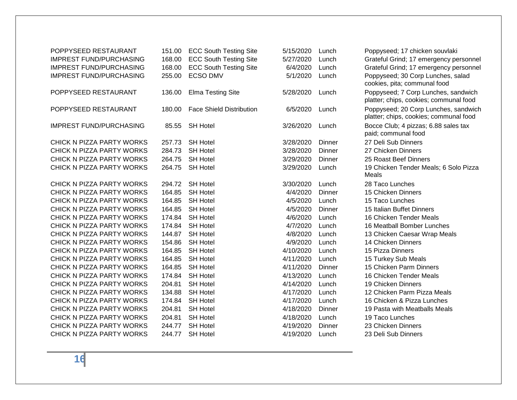| POPPYSEED RESTAURANT           | 151.00 | <b>ECC South Testing Site</b>   | 5/15/2020 | Lunch  | Poppyseed; 17 chicken souvlaki                                                 |
|--------------------------------|--------|---------------------------------|-----------|--------|--------------------------------------------------------------------------------|
| <b>IMPREST FUND/PURCHASING</b> | 168.00 | <b>ECC South Testing Site</b>   | 5/27/2020 | Lunch  | Grateful Grind; 17 emergency personnel                                         |
| <b>IMPREST FUND/PURCHASING</b> | 168.00 | <b>ECC South Testing Site</b>   | 6/4/2020  | Lunch  | Grateful Grind; 17 emergency personnel                                         |
| <b>IMPREST FUND/PURCHASING</b> | 255.00 | <b>ECSO DMV</b>                 | 5/1/2020  | Lunch  | Poppyseed; 30 Corp Lunches, salad<br>cookies, pita; communal food              |
| POPPYSEED RESTAURANT           | 136.00 | <b>Elma Testing Site</b>        | 5/28/2020 | Lunch  | Poppyseed; 7 Corp Lunches, sandwich<br>platter; chips, cookies; communal food  |
| POPPYSEED RESTAURANT           | 180.00 | <b>Face Shield Distribution</b> | 6/5/2020  | Lunch  | Poppyseed; 20 Corp Lunches, sandwich<br>platter; chips, cookies; communal food |
| <b>IMPREST FUND/PURCHASING</b> | 85.55  | <b>SH Hotel</b>                 | 3/26/2020 | Lunch  | Bocce Club; 4 pizzas; 6.88 sales tax<br>paid; communal food                    |
| CHICK N PIZZA PARTY WORKS      | 257.73 | <b>SH Hotel</b>                 | 3/28/2020 | Dinner | 27 Deli Sub Dinners                                                            |
| CHICK N PIZZA PARTY WORKS      | 284.73 | <b>SH Hotel</b>                 | 3/28/2020 | Dinner | 27 Chicken Dinners                                                             |
| CHICK N PIZZA PARTY WORKS      | 264.75 | <b>SH Hotel</b>                 | 3/29/2020 | Dinner | 25 Roast Beef Dinners                                                          |
| CHICK N PIZZA PARTY WORKS      | 264.75 | <b>SH Hotel</b>                 | 3/29/2020 | Lunch  | 19 Chicken Tender Meals; 6 Solo Pizza<br>Meals                                 |
| CHICK N PIZZA PARTY WORKS      | 294.72 | <b>SH Hotel</b>                 | 3/30/2020 | Lunch  | 28 Taco Lunches                                                                |
| CHICK N PIZZA PARTY WORKS      | 164.85 | <b>SH Hotel</b>                 | 4/4/2020  | Dinner | 15 Chicken Dinners                                                             |
| CHICK N PIZZA PARTY WORKS      | 164.85 | <b>SH Hotel</b>                 | 4/5/2020  | Lunch  | 15 Taco Lunches                                                                |
| CHICK N PIZZA PARTY WORKS      | 164.85 | <b>SH Hotel</b>                 | 4/5/2020  | Dinner | 15 Italian Buffet Dinners                                                      |
| CHICK N PIZZA PARTY WORKS      | 174.84 | <b>SH Hotel</b>                 | 4/6/2020  | Lunch  | 16 Chicken Tender Meals                                                        |
| CHICK N PIZZA PARTY WORKS      | 174.84 | <b>SH Hotel</b>                 | 4/7/2020  | Lunch  | 16 Meatball Bomber Lunches                                                     |
| CHICK N PIZZA PARTY WORKS      | 144.87 | <b>SH Hotel</b>                 | 4/8/2020  | Lunch  | 13 Chicken Caesar Wrap Meals                                                   |
| CHICK N PIZZA PARTY WORKS      | 154.86 | <b>SH Hotel</b>                 | 4/9/2020  | Lunch  | 14 Chicken Dinners                                                             |
| CHICK N PIZZA PARTY WORKS      | 164.85 | <b>SH Hotel</b>                 | 4/10/2020 | Lunch  | 15 Pizza Dinners                                                               |
| CHICK N PIZZA PARTY WORKS      | 164.85 | <b>SH Hotel</b>                 | 4/11/2020 | Lunch  | 15 Turkey Sub Meals                                                            |
| CHICK N PIZZA PARTY WORKS      | 164.85 | <b>SH Hotel</b>                 | 4/11/2020 | Dinner | 15 Chicken Parm Dinners                                                        |
| CHICK N PIZZA PARTY WORKS      | 174.84 | <b>SH Hotel</b>                 | 4/13/2020 | Lunch  | 16 Chicken Tender Meals                                                        |
| CHICK N PIZZA PARTY WORKS      | 204.81 | <b>SH Hotel</b>                 | 4/14/2020 | Lunch  | 19 Chicken Dinners                                                             |
| CHICK N PIZZA PARTY WORKS      | 134.88 | <b>SH Hotel</b>                 | 4/17/2020 | Lunch  | 12 Chicken Parm Pizza Meals                                                    |
| CHICK N PIZZA PARTY WORKS      | 174.84 | <b>SH Hotel</b>                 | 4/17/2020 | Lunch  | 16 Chicken & Pizza Lunches                                                     |
| CHICK N PIZZA PARTY WORKS      | 204.81 | <b>SH Hotel</b>                 | 4/18/2020 | Dinner | 19 Pasta with Meatballs Meals                                                  |
| CHICK N PIZZA PARTY WORKS      | 204.81 | <b>SH Hotel</b>                 | 4/18/2020 | Lunch  | 19 Taco Lunches                                                                |
| CHICK N PIZZA PARTY WORKS      | 244.77 | <b>SH Hotel</b>                 | 4/19/2020 | Dinner | 23 Chicken Dinners                                                             |
| CHICK N PIZZA PARTY WORKS      | 244.77 | <b>SH Hotel</b>                 | 4/19/2020 | Lunch  | 23 Deli Sub Dinners                                                            |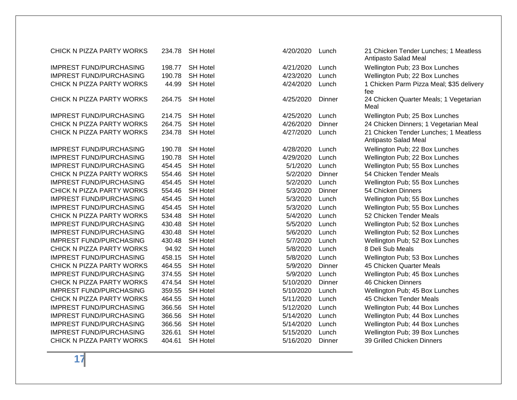| CHICK N PIZZA PARTY WORKS      | 234.78 | <b>SH Hotel</b> | 4/20/2020 | Lunch  | 21 Chicken Tender Lunches; 1 Meatless<br>Antipasto Salad Meal |
|--------------------------------|--------|-----------------|-----------|--------|---------------------------------------------------------------|
| <b>IMPREST FUND/PURCHASING</b> | 198.77 | <b>SH Hotel</b> | 4/21/2020 | Lunch  | Wellington Pub; 23 Box Lunches                                |
| <b>IMPREST FUND/PURCHASING</b> | 190.78 | <b>SH Hotel</b> | 4/23/2020 | Lunch  | Wellington Pub; 22 Box Lunches                                |
| CHICK N PIZZA PARTY WORKS      | 44.99  | <b>SH Hotel</b> | 4/24/2020 | Lunch  | 1 Chicken Parm Pizza Meal; \$35 delivery<br>fee               |
| CHICK N PIZZA PARTY WORKS      | 264.75 | <b>SH Hotel</b> | 4/25/2020 | Dinner | 24 Chicken Quarter Meals; 1 Vegetarian<br>Meal                |
| <b>IMPREST FUND/PURCHASING</b> | 214.75 | <b>SH Hotel</b> | 4/25/2020 | Lunch  | Wellington Pub; 25 Box Lunches                                |
| CHICK N PIZZA PARTY WORKS      | 264.75 | <b>SH Hotel</b> | 4/26/2020 | Dinner | 24 Chicken Dinners; 1 Vegetarian Meal                         |
| CHICK N PIZZA PARTY WORKS      | 234.78 | <b>SH Hotel</b> | 4/27/2020 | Lunch  | 21 Chicken Tender Lunches; 1 Meatless<br>Antipasto Salad Meal |
| <b>IMPREST FUND/PURCHASING</b> | 190.78 | <b>SH Hotel</b> | 4/28/2020 | Lunch  | Wellington Pub; 22 Box Lunches                                |
| <b>IMPREST FUND/PURCHASING</b> | 190.78 | <b>SH Hotel</b> | 4/29/2020 | Lunch  | Wellington Pub; 22 Box Lunches                                |
| <b>IMPREST FUND/PURCHASING</b> | 454.45 | <b>SH Hotel</b> | 5/1/2020  | Lunch  | Wellington Pub; 55 Box Lunches                                |
| CHICK N PIZZA PARTY WORKS      | 554.46 | <b>SH Hotel</b> | 5/2/2020  | Dinner | 54 Chicken Tender Meals                                       |
| <b>IMPREST FUND/PURCHASING</b> | 454.45 | <b>SH Hotel</b> | 5/2/2020  | Lunch  | Wellington Pub; 55 Box Lunches                                |
| CHICK N PIZZA PARTY WORKS      | 554.46 | <b>SH Hotel</b> | 5/3/2020  | Dinner | 54 Chicken Dinners                                            |
| <b>IMPREST FUND/PURCHASING</b> | 454.45 | <b>SH Hotel</b> | 5/3/2020  | Lunch  | Wellington Pub; 55 Box Lunches                                |
| <b>IMPREST FUND/PURCHASING</b> | 454.45 | <b>SH Hotel</b> | 5/3/2020  | Lunch  | Wellington Pub; 55 Box Lunches                                |
| CHICK N PIZZA PARTY WORKS      | 534.48 | <b>SH Hotel</b> | 5/4/2020  | Lunch  | 52 Chicken Tender Meals                                       |
| <b>IMPREST FUND/PURCHASING</b> | 430.48 | <b>SH Hotel</b> | 5/5/2020  | Lunch  | Wellington Pub; 52 Box Lunches                                |
| <b>IMPREST FUND/PURCHASING</b> | 430.48 | <b>SH Hotel</b> | 5/6/2020  | Lunch  | Wellington Pub; 52 Box Lunches                                |
| <b>IMPREST FUND/PURCHASING</b> | 430.48 | <b>SH Hotel</b> | 5/7/2020  | Lunch  | Wellington Pub; 52 Box Lunches                                |
| CHICK N PIZZA PARTY WORKS      | 94.92  | <b>SH Hotel</b> | 5/8/2020  | Lunch  | 8 Deli Sub Meals                                              |
| <b>IMPREST FUND/PURCHASING</b> | 458.15 | <b>SH Hotel</b> | 5/8/2020  | Lunch  | Wellington Pub; 53 Box Lunches                                |
| CHICK N PIZZA PARTY WORKS      | 464.55 | <b>SH Hotel</b> | 5/9/2020  | Dinner | 45 Chicken Quarter Meals                                      |
| <b>IMPREST FUND/PURCHASING</b> | 374.55 | <b>SH Hotel</b> | 5/9/2020  | Lunch  | Wellington Pub; 45 Box Lunches                                |
| CHICK N PIZZA PARTY WORKS      | 474.54 | <b>SH Hotel</b> | 5/10/2020 | Dinner | 46 Chicken Dinners                                            |
| <b>IMPREST FUND/PURCHASING</b> | 359.55 | <b>SH Hotel</b> | 5/10/2020 | Lunch  | Wellington Pub; 45 Box Lunches                                |
| CHICK N PIZZA PARTY WORKS      | 464.55 | <b>SH Hotel</b> | 5/11/2020 | Lunch  | 45 Chicken Tender Meals                                       |
| <b>IMPREST FUND/PURCHASING</b> | 366.56 | <b>SH Hotel</b> | 5/12/2020 | Lunch  | Wellington Pub; 44 Box Lunches                                |
| <b>IMPREST FUND/PURCHASING</b> | 366.56 | <b>SH Hotel</b> | 5/14/2020 | Lunch  | Wellington Pub; 44 Box Lunches                                |
| <b>IMPREST FUND/PURCHASING</b> | 366.56 | <b>SH Hotel</b> | 5/14/2020 | Lunch  | Wellington Pub; 44 Box Lunches                                |
| <b>IMPREST FUND/PURCHASING</b> | 326.61 | <b>SH Hotel</b> | 5/15/2020 | Lunch  | Wellington Pub; 39 Box Lunches                                |
| CHICK N PIZZA PARTY WORKS      | 404.61 | <b>SH Hotel</b> | 5/16/2020 | Dinner | 39 Grilled Chicken Dinners                                    |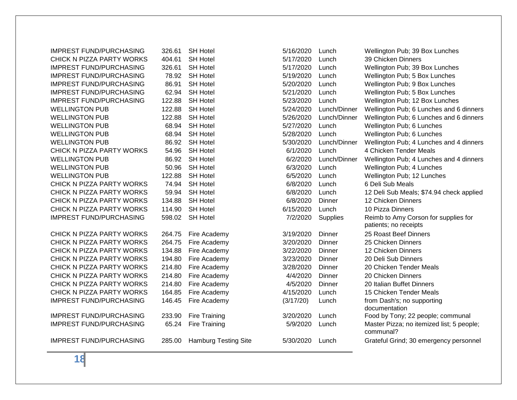| <b>IMPREST FUND/PURCHASING</b> | 326.61 | <b>SH Hotel</b>      | 5/16/2020         | Lunch        | Wellington Pub; 39 Box Lunches                         |
|--------------------------------|--------|----------------------|-------------------|--------------|--------------------------------------------------------|
| CHICK N PIZZA PARTY WORKS      | 404.61 | <b>SH Hotel</b>      | 5/17/2020         | Lunch        | 39 Chicken Dinners                                     |
| <b>IMPREST FUND/PURCHASING</b> | 326.61 | <b>SH Hotel</b>      | 5/17/2020         | Lunch        | Wellington Pub; 39 Box Lunches                         |
| <b>IMPREST FUND/PURCHASING</b> | 78.92  | <b>SH Hotel</b>      | 5/19/2020         | Lunch        | Wellington Pub; 5 Box Lunches                          |
| <b>IMPREST FUND/PURCHASING</b> | 86.91  | <b>SH Hotel</b>      | 5/20/2020         | Lunch        | Wellington Pub; 9 Box Lunches                          |
| <b>IMPREST FUND/PURCHASING</b> | 62.94  | <b>SH Hotel</b>      | 5/21/2020         | Lunch        | Wellington Pub; 5 Box Lunches                          |
| <b>IMPREST FUND/PURCHASING</b> | 122.88 | <b>SH Hotel</b>      | 5/23/2020         | Lunch        | Wellington Pub; 12 Box Lunches                         |
| <b>WELLINGTON PUB</b>          | 122.88 | <b>SH Hotel</b>      | 5/24/2020         | Lunch/Dinner | Wellington Pub; 6 Lunches and 6 dinners                |
| <b>WELLINGTON PUB</b>          | 122.88 | <b>SH Hotel</b>      | 5/26/2020         | Lunch/Dinner | Wellington Pub; 6 Lunches and 6 dinners                |
| <b>WELLINGTON PUB</b>          | 68.94  | <b>SH Hotel</b>      | 5/27/2020         | Lunch        | Wellington Pub; 6 Lunches                              |
| <b>WELLINGTON PUB</b>          | 68.94  | <b>SH Hotel</b>      | 5/28/2020         | Lunch        | Wellington Pub; 6 Lunches                              |
| <b>WELLINGTON PUB</b>          | 86.92  | <b>SH Hotel</b>      | 5/30/2020         | Lunch/Dinner | Wellington Pub; 4 Lunches and 4 dinners                |
| CHICK N PIZZA PARTY WORKS      | 54.96  | <b>SH Hotel</b>      | 6/1/2020          | Lunch        | 4 Chicken Tender Meals                                 |
| <b>WELLINGTON PUB</b>          | 86.92  | <b>SH Hotel</b>      | 6/2/2020          | Lunch/Dinner | Wellington Pub; 4 Lunches and 4 dinners                |
| <b>WELLINGTON PUB</b>          | 50.96  | <b>SH Hotel</b>      | 6/3/2020          | Lunch        | Wellington Pub; 4 Lunches                              |
| <b>WELLINGTON PUB</b>          | 122.88 | <b>SH Hotel</b>      | 6/5/2020          | Lunch        | Wellington Pub; 12 Lunches                             |
| CHICK N PIZZA PARTY WORKS      | 74.94  | <b>SH Hotel</b>      | 6/8/2020          | Lunch        | 6 Deli Sub Meals                                       |
| CHICK N PIZZA PARTY WORKS      | 59.94  | <b>SH Hotel</b>      | 6/8/2020          | Lunch        | 12 Deli Sub Meals; \$74.94 check applied               |
| CHICK N PIZZA PARTY WORKS      | 134.88 | <b>SH Hotel</b>      | 6/8/2020          | Dinner       | 12 Chicken Dinners                                     |
| CHICK N PIZZA PARTY WORKS      | 114.90 | <b>SH Hotel</b>      | 6/15/2020         | Lunch        | 10 Pizza Dinners                                       |
| <b>IMPREST FUND/PURCHASING</b> | 598.02 | <b>SH Hotel</b>      | 7/2/2020          | Supplies     | Reimb to Amy Corson for supplies for                   |
|                                |        |                      |                   |              | patients; no receipts                                  |
| CHICK N PIZZA PARTY WORKS      | 264.75 | Fire Academy         | 3/19/2020         | Dinner       | 25 Roast Beef Dinners                                  |
| CHICK N PIZZA PARTY WORKS      | 264.75 | Fire Academy         | 3/20/2020         | Dinner       | 25 Chicken Dinners                                     |
| CHICK N PIZZA PARTY WORKS      | 134.88 | Fire Academy         | 3/22/2020         | Dinner       | 12 Chicken Dinners                                     |
| CHICK N PIZZA PARTY WORKS      | 194.80 | Fire Academy         | 3/23/2020         | Dinner       | 20 Deli Sub Dinners                                    |
| CHICK N PIZZA PARTY WORKS      | 214.80 | Fire Academy         | 3/28/2020         | Dinner       | 20 Chicken Tender Meals                                |
| CHICK N PIZZA PARTY WORKS      | 214.80 | Fire Academy         | 4/4/2020          | Dinner       | 20 Chicken Dinners                                     |
| CHICK N PIZZA PARTY WORKS      | 214.80 | Fire Academy         | 4/5/2020          | Dinner       | 20 Italian Buffet Dinners                              |
| CHICK N PIZZA PARTY WORKS      | 164.85 | Fire Academy         | 4/15/2020         | Lunch        | 15 Chicken Tender Meals                                |
| <b>IMPREST FUND/PURCHASING</b> | 146.45 | Fire Academy         | (3/17/20)         | Lunch        | from Dash's; no supporting<br>documentation            |
| <b>IMPREST FUND/PURCHASING</b> | 233.90 | Fire Training        | 3/20/2020         | Lunch        | Food by Tony; 22 people; communal                      |
| <b>IMPREST FUND/PURCHASING</b> | 65.24  | Fire Training        | 5/9/2020          | Lunch        | Master Pizza; no itemized list; 5 people;<br>communal? |
| IMPREST FUND/PURCHASING        | 285.00 | Hamburg Testing Site | $5/30/2020$ lunch |              | Grateful Grind: 30 emergency personnel                 |

| <b>IMPREST FUND/PURCHASING</b> | 326.61 | <b>SH Hotel</b>             | 5/16/2020 | Lunch        | Wellington Pub; 39 Box Lunches                         |
|--------------------------------|--------|-----------------------------|-----------|--------------|--------------------------------------------------------|
| CHICK N PIZZA PARTY WORKS      | 404.61 | <b>SH Hotel</b>             | 5/17/2020 | Lunch        | 39 Chicken Dinners                                     |
| <b>IMPREST FUND/PURCHASING</b> | 326.61 | <b>SH Hotel</b>             | 5/17/2020 | Lunch        | Wellington Pub; 39 Box Lunches                         |
| <b>IMPREST FUND/PURCHASING</b> | 78.92  | <b>SH Hotel</b>             | 5/19/2020 | Lunch        | Wellington Pub; 5 Box Lunches                          |
| <b>IMPREST FUND/PURCHASING</b> | 86.91  | <b>SH Hotel</b>             | 5/20/2020 | Lunch        | Wellington Pub; 9 Box Lunches                          |
| <b>IMPREST FUND/PURCHASING</b> | 62.94  | <b>SH Hotel</b>             | 5/21/2020 | Lunch        | Wellington Pub; 5 Box Lunches                          |
| <b>IMPREST FUND/PURCHASING</b> | 122.88 | <b>SH Hotel</b>             | 5/23/2020 | Lunch        | Wellington Pub; 12 Box Lunches                         |
| <b>WELLINGTON PUB</b>          | 122.88 | <b>SH Hotel</b>             | 5/24/2020 | Lunch/Dinner | Wellington Pub; 6 Lunches and 6 dinners                |
| <b>WELLINGTON PUB</b>          | 122.88 | <b>SH Hotel</b>             | 5/26/2020 | Lunch/Dinner | Wellington Pub; 6 Lunches and 6 dinners                |
| <b>WELLINGTON PUB</b>          | 68.94  | <b>SH Hotel</b>             | 5/27/2020 | Lunch        | Wellington Pub; 6 Lunches                              |
| <b>WELLINGTON PUB</b>          | 68.94  | <b>SH Hotel</b>             | 5/28/2020 | Lunch        | Wellington Pub; 6 Lunches                              |
| <b>WELLINGTON PUB</b>          | 86.92  | <b>SH Hotel</b>             | 5/30/2020 | Lunch/Dinner | Wellington Pub; 4 Lunches and 4 dinners                |
| CHICK N PIZZA PARTY WORKS      | 54.96  | <b>SH Hotel</b>             | 6/1/2020  | Lunch        | 4 Chicken Tender Meals                                 |
| <b>WELLINGTON PUB</b>          | 86.92  | <b>SH Hotel</b>             | 6/2/2020  | Lunch/Dinner | Wellington Pub; 4 Lunches and 4 dinners                |
| <b>WELLINGTON PUB</b>          | 50.96  | <b>SH Hotel</b>             | 6/3/2020  | Lunch        | Wellington Pub; 4 Lunches                              |
| <b>WELLINGTON PUB</b>          | 122.88 | <b>SH Hotel</b>             | 6/5/2020  | Lunch        | Wellington Pub; 12 Lunches                             |
| CHICK N PIZZA PARTY WORKS      | 74.94  | <b>SH Hotel</b>             | 6/8/2020  | Lunch        | 6 Deli Sub Meals                                       |
| CHICK N PIZZA PARTY WORKS      | 59.94  | <b>SH Hotel</b>             | 6/8/2020  | Lunch        | 12 Deli Sub Meals; \$74.94 check applied               |
| CHICK N PIZZA PARTY WORKS      | 134.88 | <b>SH Hotel</b>             | 6/8/2020  | Dinner       | 12 Chicken Dinners                                     |
| CHICK N PIZZA PARTY WORKS      | 114.90 | <b>SH Hotel</b>             | 6/15/2020 | Lunch        | 10 Pizza Dinners                                       |
| <b>IMPREST FUND/PURCHASING</b> | 598.02 | <b>SH Hotel</b>             | 7/2/2020  | Supplies     | Reimb to Amy Corson for supplies for                   |
|                                |        |                             |           |              | patients; no receipts                                  |
| CHICK N PIZZA PARTY WORKS      | 264.75 | Fire Academy                | 3/19/2020 | Dinner       | 25 Roast Beef Dinners                                  |
| CHICK N PIZZA PARTY WORKS      | 264.75 | Fire Academy                | 3/20/2020 | Dinner       | 25 Chicken Dinners                                     |
| CHICK N PIZZA PARTY WORKS      | 134.88 | Fire Academy                | 3/22/2020 | Dinner       | 12 Chicken Dinners                                     |
| CHICK N PIZZA PARTY WORKS      | 194.80 | Fire Academy                | 3/23/2020 | Dinner       | 20 Deli Sub Dinners                                    |
| CHICK N PIZZA PARTY WORKS      | 214.80 | Fire Academy                | 3/28/2020 | Dinner       | 20 Chicken Tender Meals                                |
| CHICK N PIZZA PARTY WORKS      | 214.80 | Fire Academy                | 4/4/2020  | Dinner       | 20 Chicken Dinners                                     |
| CHICK N PIZZA PARTY WORKS      | 214.80 | Fire Academy                | 4/5/2020  | Dinner       | 20 Italian Buffet Dinners                              |
| CHICK N PIZZA PARTY WORKS      | 164.85 | Fire Academy                | 4/15/2020 | Lunch        | 15 Chicken Tender Meals                                |
| <b>IMPREST FUND/PURCHASING</b> | 146.45 | Fire Academy                | (3/17/20) | Lunch        | from Dash's; no supporting                             |
|                                |        |                             |           |              | documentation                                          |
| <b>IMPREST FUND/PURCHASING</b> | 233.90 | <b>Fire Training</b>        | 3/20/2020 | Lunch        | Food by Tony; 22 people; communal                      |
| <b>IMPREST FUND/PURCHASING</b> | 65.24  | Fire Training               | 5/9/2020  | Lunch        | Master Pizza; no itemized list; 5 people;<br>communal? |
| <b>IMPREST FUND/PURCHASING</b> | 285.00 | <b>Hamburg Testing Site</b> | 5/30/2020 | Lunch        | Grateful Grind; 30 emergency personnel                 |
|                                |        |                             |           |              |                                                        |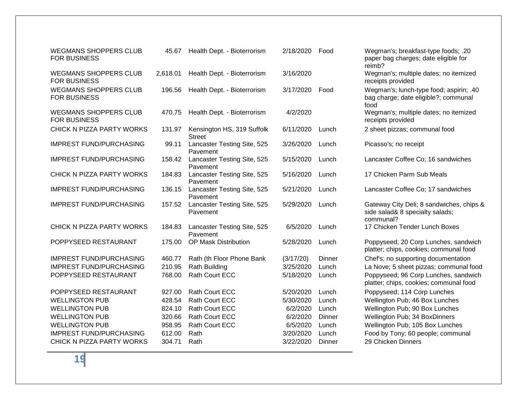| <b>WEGMANS SHOPPERS CLUB</b><br><b>FOR BUSINESS</b> | 45.67    | Health Dept. - Bioterrorism                 | 2/18/2020 | Food   | Wegman's; breakfast-type foods; .20<br>paper bag charges; date eligible for<br>reimb?    |
|-----------------------------------------------------|----------|---------------------------------------------|-----------|--------|------------------------------------------------------------------------------------------|
| <b>WEGMANS SHOPPERS CLUB</b><br><b>FOR BUSINESS</b> | 2,618.01 | Health Dept. - Bioterrorism                 | 3/16/2020 |        | Wegman's; multiple dates; no itemized<br>receipts provided                               |
| <b>WEGMANS SHOPPERS CLUB</b><br><b>FOR BUSINESS</b> | 196.56   | Health Dept. - Bioterrorism                 | 3/17/2020 | Food   | Wegman's; lunch-type food; aspirin; .40<br>bag charge; date eligible?; communal<br>food  |
| <b>WEGMANS SHOPPERS CLUB</b><br><b>FOR BUSINESS</b> | 470.75   | Health Dept. - Bioterrorism                 | 4/2/2020  |        | Wegman's; multiple dates; no itemized<br>receipts provided                               |
| CHICK N PIZZA PARTY WORKS                           | 131.97   | Kensington HS, 319 Suffolk<br><b>Street</b> | 6/11/2020 | Lunch  | 2 sheet pizzas; communal food                                                            |
| <b>IMPREST FUND/PURCHASING</b>                      | 99.11    | Lancaster Testing Site, 525<br>Pavement     | 3/26/2020 | Lunch  | Picasso's; no receipt                                                                    |
| <b>IMPREST FUND/PURCHASING</b>                      | 158.42   | Lancaster Testing Site, 525<br>Pavement     | 5/15/2020 | Lunch  | Lancaster Coffee Co; 16 sandwiches                                                       |
| CHICK N PIZZA PARTY WORKS                           | 184.83   | Lancaster Testing Site, 525<br>Pavement     | 5/16/2020 | Lunch  | 17 Chicken Parm Sub Meals                                                                |
| <b>IMPREST FUND/PURCHASING</b>                      | 136.15   | Lancaster Testing Site, 525<br>Pavement     | 5/21/2020 | Lunch  | Lancaster Coffee Co; 17 sandwiches                                                       |
| <b>IMPREST FUND/PURCHASING</b>                      | 157.52   | Lancaster Testing Site, 525<br>Pavement     | 5/29/2020 | Lunch  | Gateway City Deli; 8 sandwiches, chips 8<br>side salad& 8 specialty salads;<br>communal? |
| CHICK N PIZZA PARTY WORKS                           | 184.83   | Lancaster Testing Site, 525<br>Pavement     | 6/5/2020  | Lunch  | 17 Chicken Tender Lunch Boxes                                                            |
| POPPYSEED RESTAURANT                                | 175.00   | OP Mask Distribution                        | 5/28/2020 | Lunch  | Poppyseed; 20 Corp Lunches, sandwich<br>platter; chips, cookies; communal food           |
| <b>IMPREST FUND/PURCHASING</b>                      | 460.77   | Rath (th Floor Phone Bank                   | (3/17/20) | Dinner | Chef's; no supporting documentation                                                      |
| <b>IMPREST FUND/PURCHASING</b>                      | 210.95   | Rath Building                               | 3/25/2020 | Lunch  | La Nove; 5 sheet pizzas; communal food                                                   |
| POPPYSEED RESTAURANT                                | 768.00   | Rath Court ECC                              | 5/18/2020 | Lunch  | Poppyseed; 96 Corp Lunches, sandwich<br>platter; chips, cookies; communal food           |
| POPPYSEED RESTAURANT                                | 927.00   | <b>Rath Court ECC</b>                       | 5/20/2020 | Lunch  | Poppyseed; 114 Corp Lunches                                                              |
| <b>WELLINGTON PUB</b>                               | 428.54   | Rath Court ECC                              | 5/30/2020 | Lunch  | Wellington Pub; 46 Box Lunches                                                           |
| <b>WELLINGTON PUB</b>                               | 824.10   | Rath Court ECC                              | 6/2/2020  | Lunch  | Wellington Pub; 90 Box Lunches                                                           |
| <b>WELLINGTON PUB</b>                               | 320.66   | Rath Court ECC                              | 6/2/2020  | Dinner | Wellington Pub; 34 BoxDinners                                                            |
| <b>WELLINGTON PUB</b>                               | 958.95   | Rath Court ECC                              | 6/5/2020  | Lunch  | Wellington Pub; 105 Box Lunches                                                          |
| <b>IMPREST FUND/PURCHASING</b>                      | 612.00   | Rath                                        | 3/20/2020 | Lunch  | Food by Tony; 60 people; communal                                                        |
| CHICK N PIZZA PARTY WORKS                           | 304.71   | Rath                                        | 3/22/2020 | Dinner | 29 Chicken Dinners                                                                       |

| 2/18/2020 | Food   | Wegman's; breakfast-type foods; .20<br>paper bag charges; date eligible for<br>reimb?    |
|-----------|--------|------------------------------------------------------------------------------------------|
| 3/16/2020 |        | Wegman's; multiple dates; no itemized<br>receipts provided                               |
| 3/17/2020 | Food   | Wegman's; lunch-type food; aspirin; .40<br>bag charge; date eligible?; communal<br>food  |
| 4/2/2020  |        | Wegman's; multiple dates; no itemized<br>receipts provided                               |
| 6/11/2020 | Lunch  | 2 sheet pizzas; communal food                                                            |
| 3/26/2020 | Lunch  | Picasso's; no receipt                                                                    |
| 5/15/2020 | Lunch  | Lancaster Coffee Co; 16 sandwiches                                                       |
| 5/16/2020 | Lunch  | 17 Chicken Parm Sub Meals                                                                |
| 5/21/2020 | Lunch  | Lancaster Coffee Co; 17 sandwiches                                                       |
| 5/29/2020 | Lunch  | Gateway City Deli; 8 sandwiches, chips &<br>side salad& 8 specialty salads;<br>communal? |
| 6/5/2020  | Lunch  | 17 Chicken Tender Lunch Boxes                                                            |
| 5/28/2020 | Lunch  | Poppyseed; 20 Corp Lunches, sandwich<br>platter; chips, cookies; communal food           |
| (3/17/20) | Dinner | Chef's; no supporting documentation                                                      |
| 3/25/2020 | Lunch  | La Nove; 5 sheet pizzas; communal food                                                   |
| 5/18/2020 | Lunch  | Poppyseed; 96 Corp Lunches, sandwich<br>platter; chips, cookies; communal food           |
| 5/20/2020 | Lunch  | Poppyseed; 114 Corp Lunches                                                              |
| 5/30/2020 | Lunch  | Wellington Pub; 46 Box Lunches                                                           |
| 6/2/2020  | Lunch  | Wellington Pub; 90 Box Lunches                                                           |
| 6/2/2020  | Dinner | Wellington Pub; 34 BoxDinners                                                            |
| 6/5/2020  | Lunch  | Wellington Pub; 105 Box Lunches                                                          |
| 3/20/2020 | Lunch  | Food by Tony; 60 people; communal                                                        |
| 3/22/2020 | Dinner | 29 Chicken Dinners                                                                       |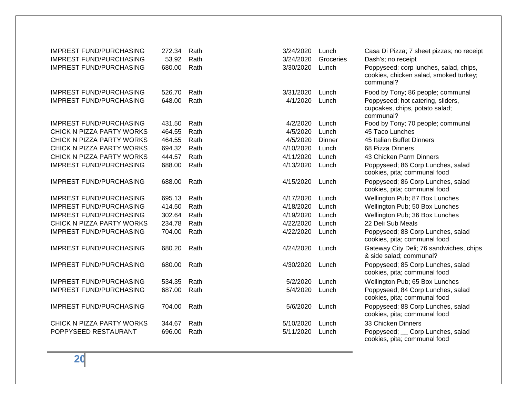| <b>IMPREST FUND/PURCHASING</b><br><b>IMPREST FUND/PURCHASING</b><br><b>IMPREST FUND/PURCHASING</b> | 272.34<br>53.92<br>680.00 | Rath<br>Rath<br>Rath | 3/24/2020<br>3/24/2020<br>3/30/2020 | Lunch<br>Groceries<br>Lunch | Casa Di Pizza; 7 sheet pizzas; no receipt<br>Dash's; no receipt<br>Poppyseed; corp lunches, salad, chips,<br>cookies, chicken salad, smoked turkey;<br>communal? |
|----------------------------------------------------------------------------------------------------|---------------------------|----------------------|-------------------------------------|-----------------------------|------------------------------------------------------------------------------------------------------------------------------------------------------------------|
| <b>IMPREST FUND/PURCHASING</b>                                                                     | 526.70                    | Rath                 | 3/31/2020                           | Lunch                       | Food by Tony; 86 people; communal                                                                                                                                |
| <b>IMPREST FUND/PURCHASING</b>                                                                     | 648.00                    | Rath                 | 4/1/2020                            | Lunch                       | Poppyseed; hot catering, sliders,<br>cupcakes, chips, potato salad;<br>communal?                                                                                 |
| <b>IMPREST FUND/PURCHASING</b>                                                                     | 431.50                    | Rath                 | 4/2/2020                            | Lunch                       | Food by Tony; 70 people; communal                                                                                                                                |
| CHICK N PIZZA PARTY WORKS                                                                          | 464.55                    | Rath                 | 4/5/2020                            | Lunch                       | 45 Taco Lunches                                                                                                                                                  |
| CHICK N PIZZA PARTY WORKS                                                                          | 464.55                    | Rath                 | 4/5/2020                            | Dinner                      | 45 Italian Buffet Dinners                                                                                                                                        |
| CHICK N PIZZA PARTY WORKS                                                                          | 694.32                    | Rath                 | 4/10/2020                           | Lunch                       | 68 Pizza Dinners                                                                                                                                                 |
| CHICK N PIZZA PARTY WORKS                                                                          | 444.57                    | Rath                 | 4/11/2020                           | Lunch                       | 43 Chicken Parm Dinners                                                                                                                                          |
| <b>IMPREST FUND/PURCHASING</b>                                                                     | 688.00                    | Rath                 | 4/13/2020                           | Lunch                       | Poppyseed; 86 Corp Lunches, salad<br>cookies, pita; communal food                                                                                                |
| <b>IMPREST FUND/PURCHASING</b>                                                                     | 688.00                    | Rath                 | 4/15/2020                           | Lunch                       | Poppyseed; 86 Corp Lunches, salad<br>cookies, pita; communal food                                                                                                |
| <b>IMPREST FUND/PURCHASING</b>                                                                     | 695.13                    | Rath                 | 4/17/2020                           | Lunch                       | Wellington Pub; 87 Box Lunches                                                                                                                                   |
| <b>IMPREST FUND/PURCHASING</b>                                                                     | 414.50                    | Rath                 | 4/18/2020                           | Lunch                       | Wellington Pub; 50 Box Lunches                                                                                                                                   |
| <b>IMPREST FUND/PURCHASING</b>                                                                     | 302.64                    | Rath                 | 4/19/2020                           | Lunch                       | Wellington Pub; 36 Box Lunches                                                                                                                                   |
| CHICK N PIZZA PARTY WORKS                                                                          | 234.78                    | Rath                 | 4/22/2020                           | Lunch                       | 22 Deli Sub Meals                                                                                                                                                |
| <b>IMPREST FUND/PURCHASING</b>                                                                     | 704.00                    | Rath                 | 4/22/2020                           | Lunch                       | Poppyseed; 88 Corp Lunches, salad<br>cookies, pita; communal food                                                                                                |
| <b>IMPREST FUND/PURCHASING</b>                                                                     | 680.20                    | Rath                 | 4/24/2020                           | Lunch                       | Gateway City Deli; 76 sandwiches, chips<br>& side salad; communal?                                                                                               |
| <b>IMPREST FUND/PURCHASING</b>                                                                     | 680.00                    | Rath                 | 4/30/2020                           | Lunch                       | Poppyseed; 85 Corp Lunches, salad<br>cookies, pita; communal food                                                                                                |
| <b>IMPREST FUND/PURCHASING</b>                                                                     | 534.35                    | Rath                 | 5/2/2020                            | Lunch                       | Wellington Pub; 65 Box Lunches                                                                                                                                   |
| <b>IMPREST FUND/PURCHASING</b>                                                                     | 687.00                    | Rath                 | 5/4/2020                            | Lunch                       | Poppyseed; 84 Corp Lunches, salad<br>cookies, pita; communal food                                                                                                |
| <b>IMPREST FUND/PURCHASING</b>                                                                     | 704.00                    | Rath                 | 5/6/2020                            | Lunch                       | Poppyseed; 88 Corp Lunches, salad<br>cookies, pita; communal food                                                                                                |
| CHICK N PIZZA PARTY WORKS                                                                          | 344.67                    | Rath                 | 5/10/2020                           | Lunch                       | 33 Chicken Dinners                                                                                                                                               |
| POPPYSEED RESTAURANT                                                                               | 696.00                    | Rath                 | 5/11/2020                           | Lunch                       | Poppyseed; _ Corp Lunches, salad<br>cookies, pita; communal food                                                                                                 |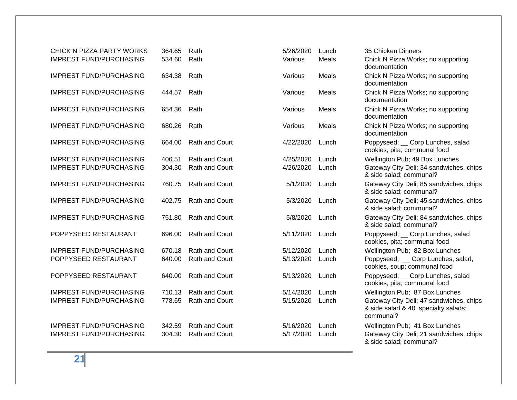| CHICK N PIZZA PARTY WORKS      | 364.65 | Rath                  | 5/26/2020 | Lunch | 35 Chicken Dinners                                                                          |
|--------------------------------|--------|-----------------------|-----------|-------|---------------------------------------------------------------------------------------------|
| <b>IMPREST FUND/PURCHASING</b> | 534.60 | Rath                  | Various   | Meals | Chick N Pizza Works; no supporting<br>documentation                                         |
| <b>IMPREST FUND/PURCHASING</b> | 634.38 | Rath                  | Various   | Meals | Chick N Pizza Works; no supporting<br>documentation                                         |
| <b>IMPREST FUND/PURCHASING</b> | 444.57 | Rath                  | Various   | Meals | Chick N Pizza Works; no supporting<br>documentation                                         |
| <b>IMPREST FUND/PURCHASING</b> | 654.36 | Rath                  | Various   | Meals | Chick N Pizza Works; no supporting<br>documentation                                         |
| <b>IMPREST FUND/PURCHASING</b> | 680.26 | Rath                  | Various   | Meals | Chick N Pizza Works; no supporting<br>documentation                                         |
| <b>IMPREST FUND/PURCHASING</b> | 664.00 | Rath and Court        | 4/22/2020 | Lunch | Poppyseed; __ Corp Lunches, salad<br>cookies, pita; communal food                           |
| <b>IMPREST FUND/PURCHASING</b> | 406.51 | <b>Rath and Court</b> | 4/25/2020 | Lunch | Wellington Pub; 49 Box Lunches                                                              |
| <b>IMPREST FUND/PURCHASING</b> | 304.30 | Rath and Court        | 4/26/2020 | Lunch | Gateway City Deli; 34 sandwiches, chips<br>& side salad; communal?                          |
| <b>IMPREST FUND/PURCHASING</b> | 760.75 | Rath and Court        | 5/1/2020  | Lunch | Gateway City Deli; 85 sandwiches, chips<br>& side salad; communal?                          |
| <b>IMPREST FUND/PURCHASING</b> | 402.75 | <b>Rath and Court</b> | 5/3/2020  | Lunch | Gateway City Deli; 45 sandwiches, chips<br>& side salad; communal?                          |
| <b>IMPREST FUND/PURCHASING</b> | 751.80 | <b>Rath and Court</b> | 5/8/2020  | Lunch | Gateway City Deli; 84 sandwiches, chips<br>& side salad; communal?                          |
| POPPYSEED RESTAURANT           | 696.00 | <b>Rath and Court</b> | 5/11/2020 | Lunch | Poppyseed; _ Corp Lunches, salad<br>cookies, pita; communal food                            |
| <b>IMPREST FUND/PURCHASING</b> | 670.18 | <b>Rath and Court</b> | 5/12/2020 | Lunch | Wellington Pub; 82 Box Lunches                                                              |
| POPPYSEED RESTAURANT           | 640.00 | Rath and Court        | 5/13/2020 | Lunch | Poppyseed; _ Corp Lunches, salad,<br>cookies, soup; communal food                           |
| POPPYSEED RESTAURANT           | 640.00 | <b>Rath and Court</b> | 5/13/2020 | Lunch | Poppyseed; __ Corp Lunches, salad<br>cookies, pita; communal food                           |
| <b>IMPREST FUND/PURCHASING</b> | 710.13 | <b>Rath and Court</b> | 5/14/2020 | Lunch | Wellington Pub; 87 Box Lunches                                                              |
| <b>IMPREST FUND/PURCHASING</b> | 778.65 | <b>Rath and Court</b> | 5/15/2020 | Lunch | Gateway City Deli; 47 sandwiches, chips<br>& side salad & 40 specialty salads;<br>communal? |
| <b>IMPREST FUND/PURCHASING</b> | 342.59 | Rath and Court        | 5/16/2020 | Lunch | Wellington Pub; 41 Box Lunches                                                              |
| <b>IMPREST FUND/PURCHASING</b> | 304.30 | Rath and Court        | 5/17/2020 | Lunch | Gateway City Deli; 21 sandwiches, chips<br>& side salad; communal?                          |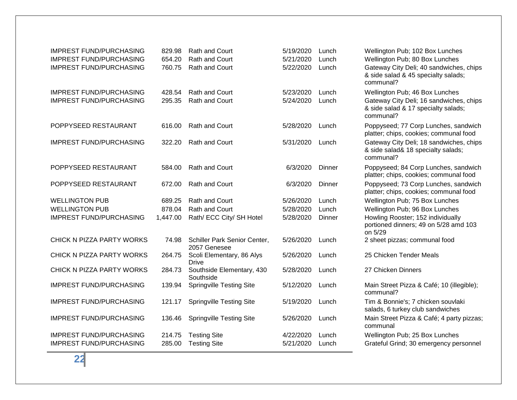| <b>IMPREST FUND/PURCHASING</b><br><b>IMPREST FUND/PURCHASING</b><br><b>IMPREST FUND/PURCHASING</b> | 829.98<br>654.20<br>760.75 | <b>Rath and Court</b><br><b>Rath and Court</b><br><b>Rath and Court</b> | 5/19/2020<br>5/21/2020<br>5/22/2020 | Lunch<br>Lunch<br>Lunch | Wellington Pub; 102 Box Lunches<br>Wellington Pub; 80 Box Lunches<br>Gateway City Deli; 40 sandwiches, chips<br>& side salad & 45 specialty salads;<br>communal? |
|----------------------------------------------------------------------------------------------------|----------------------------|-------------------------------------------------------------------------|-------------------------------------|-------------------------|------------------------------------------------------------------------------------------------------------------------------------------------------------------|
| <b>IMPREST FUND/PURCHASING</b>                                                                     | 428.54                     | <b>Rath and Court</b>                                                   | 5/23/2020                           | Lunch                   | Wellington Pub; 46 Box Lunches                                                                                                                                   |
| <b>IMPREST FUND/PURCHASING</b>                                                                     | 295.35                     | <b>Rath and Court</b>                                                   | 5/24/2020                           | Lunch                   | Gateway City Deli; 16 sandwiches, chips<br>& side salad & 17 specialty salads;<br>communal?                                                                      |
| POPPYSEED RESTAURANT                                                                               | 616.00                     | <b>Rath and Court</b>                                                   | 5/28/2020                           | Lunch                   | Poppyseed; 77 Corp Lunches, sandwich<br>platter; chips, cookies; communal food                                                                                   |
| <b>IMPREST FUND/PURCHASING</b>                                                                     | 322.20                     | <b>Rath and Court</b>                                                   | 5/31/2020                           | Lunch                   | Gateway City Deli; 18 sandwiches, chips<br>& side salad& 18 specialty salads;<br>communal?                                                                       |
| POPPYSEED RESTAURANT                                                                               | 584.00                     | <b>Rath and Court</b>                                                   | 6/3/2020                            | Dinner                  | Poppyseed; 84 Corp Lunches, sandwich<br>platter; chips, cookies; communal food                                                                                   |
| POPPYSEED RESTAURANT                                                                               | 672.00                     | <b>Rath and Court</b>                                                   | 6/3/2020                            | Dinner                  | Poppyseed; 73 Corp Lunches, sandwich<br>platter; chips, cookies; communal food                                                                                   |
| <b>WELLINGTON PUB</b>                                                                              | 689.25                     | <b>Rath and Court</b>                                                   | 5/26/2020                           | Lunch                   | Wellington Pub; 75 Box Lunches                                                                                                                                   |
| <b>WELLINGTON PUB</b>                                                                              | 878.04                     | Rath and Court                                                          | 5/28/2020                           | Lunch                   | Wellington Pub; 96 Box Lunches                                                                                                                                   |
| <b>IMPREST FUND/PURCHASING</b>                                                                     | 1,447.00                   | Rath/ ECC City/ SH Hotel                                                | 5/28/2020                           | Dinner                  | Howling Rooster; 152 individually<br>portioned dinners; 49 on 5/28 amd 103<br>on 5/29                                                                            |
| CHICK N PIZZA PARTY WORKS                                                                          | 74.98                      | Schiller Park Senior Center,<br>2057 Genesee                            | 5/26/2020                           | Lunch                   | 2 sheet pizzas; communal food                                                                                                                                    |
| CHICK N PIZZA PARTY WORKS                                                                          | 264.75                     | Scoli Elementary, 86 Alys<br>Drive                                      | 5/26/2020                           | Lunch                   | 25 Chicken Tender Meals                                                                                                                                          |
| CHICK N PIZZA PARTY WORKS                                                                          | 284.73                     | Southside Elementary, 430<br>Southside                                  | 5/28/2020                           | Lunch                   | 27 Chicken Dinners                                                                                                                                               |
| <b>IMPREST FUND/PURCHASING</b>                                                                     | 139.94                     | <b>Springville Testing Site</b>                                         | 5/12/2020                           | Lunch                   | Main Street Pizza & Café; 10 (illegible);<br>communal?                                                                                                           |
| <b>IMPREST FUND/PURCHASING</b>                                                                     | 121.17                     | <b>Springville Testing Site</b>                                         | 5/19/2020                           | Lunch                   | Tim & Bonnie's; 7 chicken souvlaki<br>salads, 6 turkey club sandwiches                                                                                           |
| <b>IMPREST FUND/PURCHASING</b>                                                                     | 136.46                     | <b>Springville Testing Site</b>                                         | 5/26/2020                           | Lunch                   | Main Street Pizza & Café; 4 party pizzas;<br>communal                                                                                                            |
| <b>IMPREST FUND/PURCHASING</b>                                                                     | 214.75                     | <b>Testing Site</b>                                                     | 4/22/2020                           | Lunch                   | Wellington Pub; 25 Box Lunches                                                                                                                                   |
| <b>IMPREST FUND/PURCHASING</b>                                                                     | 285.00                     | <b>Testing Site</b>                                                     | 5/21/2020                           | Lunch                   | Grateful Grind; 30 emergency personnel                                                                                                                           |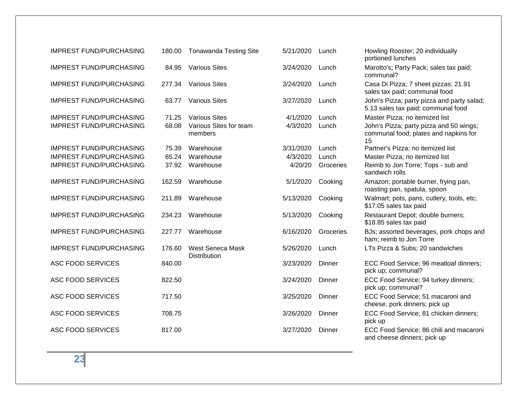| <b>IMPREST FUND/PURCHASING</b> | 180.00 | <b>Tonawanda Testing Site</b>           | 5/21/2020 | Lunch     | Howling Rooster; 20 individually<br>portioned lunches                                  |
|--------------------------------|--------|-----------------------------------------|-----------|-----------|----------------------------------------------------------------------------------------|
| <b>IMPREST FUND/PURCHASING</b> | 84.95  | <b>Various Sites</b>                    | 3/24/2020 | Lunch     | Marotto's; Party Pack; sales tax paid;<br>communal?                                    |
| <b>IMPREST FUND/PURCHASING</b> | 277.34 | <b>Various Sites</b>                    | 3/24/2020 | Lunch     | Casa Di Pizza; 7 sheet pizzas; 21.91<br>sales tax paid; communal food                  |
| <b>IMPREST FUND/PURCHASING</b> | 63.77  | <b>Various Sites</b>                    | 3/27/2020 | Lunch     | John's Pizza; party pizza and party salad;<br>5.13 sales tax paid; communal food       |
| <b>IMPREST FUND/PURCHASING</b> | 71.25  | <b>Various Sites</b>                    | 4/1/2020  | Lunch     | Master Pizza; no itemized list                                                         |
| <b>IMPREST FUND/PURCHASING</b> | 68.08  | Various Sites for team<br>members       | 4/3/2020  | Lunch     | John's Pizza; party pizza and 50 wings;<br>communal food; plates and napkins for<br>15 |
| <b>IMPREST FUND/PURCHASING</b> | 75.39  | Warehouse                               | 3/31/2020 | Lunch     | Partner's Pizza; no itemized list                                                      |
| <b>IMPREST FUND/PURCHASING</b> | 65.24  | Warehouse                               | 4/3/2020  | Lunch     | Master Pizza; no itemized list                                                         |
| <b>IMPREST FUND/PURCHASING</b> | 37.92  | Warehouse                               | 4/20/20   | Groceries | Reimb to Jon Torre; Tops - sub and<br>sandwich rolls                                   |
| <b>IMPREST FUND/PURCHASING</b> | 162.59 | Warehouse                               | 5/1/2020  | Cooking   | Amazon; portable burner, frying pan,<br>roasting pan, spatula, spoon                   |
| <b>IMPREST FUND/PURCHASING</b> | 211.89 | Warehouse                               | 5/13/2020 | Cooking   | Walmart; pots, pans, cutlery, tools, etc;<br>\$17.05 sales tax paid                    |
| <b>IMPREST FUND/PURCHASING</b> | 234.23 | Warehouse                               | 5/13/2020 | Cooking   | Restaurant Depot; double burners;<br>\$18.85 sales tax paid                            |
| <b>IMPREST FUND/PURCHASING</b> | 227.77 | Warehouse                               | 6/16/2020 | Groceries | BJs; assorted beverages, pork chops and<br>ham; reimb to Jon Torre                     |
| <b>IMPREST FUND/PURCHASING</b> | 176.60 | West Seneca Mask<br><b>Distribution</b> | 5/26/2020 | Lunch     | LTs Pizza & Subs; 20 sandwiches                                                        |
| <b>ASC FOOD SERVICES</b>       | 840.00 |                                         | 3/23/2020 | Dinner    | ECC Food Service; 96 meatloaf dinners;<br>pick up; communal?                           |
| <b>ASC FOOD SERVICES</b>       | 822.50 |                                         | 3/24/2020 | Dinner    | ECC Food Service; 94 turkey dinners;<br>pick up; communal?                             |
| <b>ASC FOOD SERVICES</b>       | 717.50 |                                         | 3/25/2020 | Dinner    | ECC Food Service; 51 macaroni and<br>cheese, pork dinners; pick up                     |
| <b>ASC FOOD SERVICES</b>       | 708.75 |                                         | 3/26/2020 | Dinner    | ECC Food Service; 81 chicken dinners;<br>pick up                                       |
| <b>ASC FOOD SERVICES</b>       | 817.00 |                                         | 3/27/2020 | Dinner    | ECC Food Service; 86 chili and macaroni<br>and cheese dinners; pick up                 |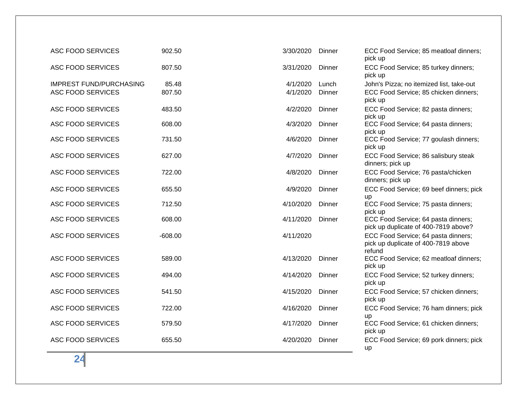| <b>ASC FOOD SERVICES</b>                                   | 902.50          | 3/30/2020            | Dinner          | ECC Food Service; 85 meatloaf dinners;<br>pick up                                            |
|------------------------------------------------------------|-----------------|----------------------|-----------------|----------------------------------------------------------------------------------------------|
| <b>ASC FOOD SERVICES</b>                                   | 807.50          | 3/31/2020            | Dinner          | ECC Food Service; 85 turkey dinners;<br>pick up                                              |
| <b>IMPREST FUND/PURCHASING</b><br><b>ASC FOOD SERVICES</b> | 85.48<br>807.50 | 4/1/2020<br>4/1/2020 | Lunch<br>Dinner | John's Pizza; no itemized list, take-out<br>ECC Food Service; 85 chicken dinners;<br>pick up |
| <b>ASC FOOD SERVICES</b>                                   | 483.50          | 4/2/2020             | Dinner          | ECC Food Service; 82 pasta dinners;<br>pick up                                               |
| <b>ASC FOOD SERVICES</b>                                   | 608.00          | 4/3/2020             | Dinner          | ECC Food Service; 64 pasta dinners;<br>pick up                                               |
| <b>ASC FOOD SERVICES</b>                                   | 731.50          | 4/6/2020             | Dinner          | ECC Food Service; 77 goulash dinners;<br>pick up                                             |
| <b>ASC FOOD SERVICES</b>                                   | 627.00          | 4/7/2020             | Dinner          | ECC Food Service; 86 salisbury steak<br>dinners; pick up                                     |
| <b>ASC FOOD SERVICES</b>                                   | 722.00          | 4/8/2020             | Dinner          | ECC Food Service; 76 pasta/chicken<br>dinners; pick up                                       |
| <b>ASC FOOD SERVICES</b>                                   | 655.50          | 4/9/2020             | Dinner          | ECC Food Service; 69 beef dinners; pick<br><b>up</b>                                         |
| <b>ASC FOOD SERVICES</b>                                   | 712.50          | 4/10/2020            | Dinner          | ECC Food Service; 75 pasta dinners;<br>pick up                                               |
| <b>ASC FOOD SERVICES</b>                                   | 608.00          | 4/11/2020            | Dinner          | ECC Food Service; 64 pasta dinners;<br>pick up duplicate of 400-7819 above?                  |
| <b>ASC FOOD SERVICES</b>                                   | $-608.00$       | 4/11/2020            |                 | ECC Food Service; 64 pasta dinners;<br>pick up duplicate of 400-7819 above<br>refund         |
| <b>ASC FOOD SERVICES</b>                                   | 589.00          | 4/13/2020            | Dinner          | ECC Food Service; 62 meatloaf dinners;<br>pick up                                            |
| <b>ASC FOOD SERVICES</b>                                   | 494.00          | 4/14/2020            | Dinner          | ECC Food Service; 52 turkey dinners;<br>pick up                                              |
| <b>ASC FOOD SERVICES</b>                                   | 541.50          | 4/15/2020            | Dinner          | ECC Food Service; 57 chicken dinners;<br>pick up                                             |
| <b>ASC FOOD SERVICES</b>                                   | 722.00          | 4/16/2020            | Dinner          | ECC Food Service; 76 ham dinners; pick<br>up                                                 |
| <b>ASC FOOD SERVICES</b>                                   | 579.50          | 4/17/2020            | Dinner          | ECC Food Service; 61 chicken dinners;<br>pick up                                             |
| <b>ASC FOOD SERVICES</b>                                   | 655.50          | 4/20/2020            | Dinner          | ECC Food Service; 69 pork dinners; pick<br>up                                                |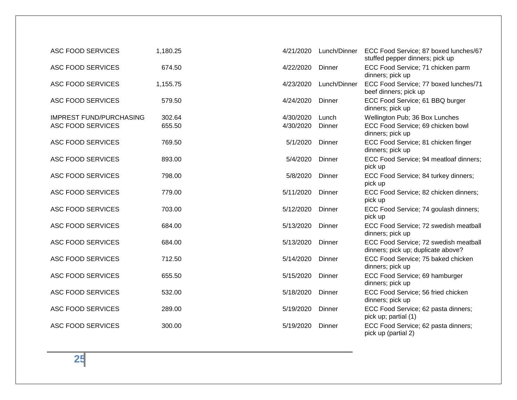| <b>ASC FOOD SERVICES</b>                                   | 1,180.25         | 4/21/2020              | Lunch/Dinner    | ECC Food Service; 87 boxed lunches/67<br>stuffed pepper dinners; pick up                |
|------------------------------------------------------------|------------------|------------------------|-----------------|-----------------------------------------------------------------------------------------|
| <b>ASC FOOD SERVICES</b>                                   | 674.50           | 4/22/2020              | Dinner          | ECC Food Service; 71 chicken parm<br>dinners; pick up                                   |
| <b>ASC FOOD SERVICES</b>                                   | 1,155.75         | 4/23/2020              | Lunch/Dinner    | ECC Food Service; 77 boxed lunches/71<br>beef dinners; pick up                          |
| <b>ASC FOOD SERVICES</b>                                   | 579.50           | 4/24/2020              | Dinner          | ECC Food Service; 61 BBQ burger<br>dinners; pick up                                     |
| <b>IMPREST FUND/PURCHASING</b><br><b>ASC FOOD SERVICES</b> | 302.64<br>655.50 | 4/30/2020<br>4/30/2020 | Lunch<br>Dinner | Wellington Pub; 36 Box Lunches<br>ECC Food Service; 69 chicken bowl<br>dinners; pick up |
| <b>ASC FOOD SERVICES</b>                                   | 769.50           | 5/1/2020               | Dinner          | ECC Food Service; 81 chicken finger<br>dinners; pick up                                 |
| <b>ASC FOOD SERVICES</b>                                   | 893.00           | 5/4/2020               | Dinner          | ECC Food Service; 94 meatloaf dinners;<br>pick up                                       |
| <b>ASC FOOD SERVICES</b>                                   | 798.00           | 5/8/2020               | Dinner          | ECC Food Service; 84 turkey dinners;<br>pick up                                         |
| <b>ASC FOOD SERVICES</b>                                   | 779.00           | 5/11/2020              | Dinner          | ECC Food Service; 82 chicken dinners;<br>pick up                                        |
| <b>ASC FOOD SERVICES</b>                                   | 703.00           | 5/12/2020              | Dinner          | ECC Food Service; 74 goulash dinners;<br>pick up                                        |
| <b>ASC FOOD SERVICES</b>                                   | 684.00           | 5/13/2020              | Dinner          | ECC Food Service; 72 swedish meatball<br>dinners; pick up                               |
| <b>ASC FOOD SERVICES</b>                                   | 684.00           | 5/13/2020              | Dinner          | ECC Food Service; 72 swedish meatball<br>dinners; pick up; duplicate above?             |
| <b>ASC FOOD SERVICES</b>                                   | 712.50           | 5/14/2020              | Dinner          | ECC Food Service; 75 baked chicken<br>dinners; pick up                                  |
| <b>ASC FOOD SERVICES</b>                                   | 655.50           | 5/15/2020              | Dinner          | ECC Food Service; 69 hamburger<br>dinners; pick up                                      |
| <b>ASC FOOD SERVICES</b>                                   | 532.00           | 5/18/2020              | Dinner          | ECC Food Service; 56 fried chicken<br>dinners; pick up                                  |
| <b>ASC FOOD SERVICES</b>                                   | 289.00           | 5/19/2020              | Dinner          | ECC Food Service; 62 pasta dinners;<br>pick up; partial (1)                             |
| <b>ASC FOOD SERVICES</b>                                   | 300.00           | 5/19/2020              | Dinner          | ECC Food Service; 62 pasta dinners;<br>pick up (partial 2)                              |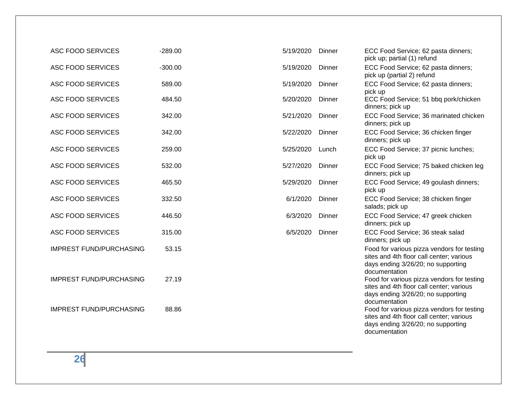| <b>ASC FOOD SERVICES</b>       | $-289.00$ | 5/19/2020 | Dinner | ECC Food Service; 62 pasta dinners;<br>pick up; partial (1) refund                                                                                             |
|--------------------------------|-----------|-----------|--------|----------------------------------------------------------------------------------------------------------------------------------------------------------------|
| <b>ASC FOOD SERVICES</b>       | $-300.00$ | 5/19/2020 | Dinner | ECC Food Service; 62 pasta dinners;<br>pick up (partial 2) refund                                                                                              |
| <b>ASC FOOD SERVICES</b>       | 589.00    | 5/19/2020 | Dinner | ECC Food Service; 62 pasta dinners;<br>pick up                                                                                                                 |
| <b>ASC FOOD SERVICES</b>       | 484.50    | 5/20/2020 | Dinner | ECC Food Service; 51 bbq pork/chicken<br>dinners; pick up                                                                                                      |
| <b>ASC FOOD SERVICES</b>       | 342.00    | 5/21/2020 | Dinner | ECC Food Service; 36 marinated chicken<br>dinners; pick up                                                                                                     |
| <b>ASC FOOD SERVICES</b>       | 342.00    | 5/22/2020 | Dinner | ECC Food Service; 36 chicken finger<br>dinners; pick up                                                                                                        |
| <b>ASC FOOD SERVICES</b>       | 259.00    | 5/25/2020 | Lunch  | ECC Food Service; 37 picnic lunches;<br>pick up                                                                                                                |
| <b>ASC FOOD SERVICES</b>       | 532.00    | 5/27/2020 | Dinner | ECC Food Service; 75 baked chicken leg<br>dinners; pick up                                                                                                     |
| ASC FOOD SERVICES              | 465.50    | 5/29/2020 | Dinner | ECC Food Service; 49 goulash dinners;<br>pick up                                                                                                               |
| <b>ASC FOOD SERVICES</b>       | 332.50    | 6/1/2020  | Dinner | ECC Food Service; 38 chicken finger<br>salads; pick up                                                                                                         |
| <b>ASC FOOD SERVICES</b>       | 446.50    | 6/3/2020  | Dinner | ECC Food Service; 47 greek chicken<br>dinners; pick up                                                                                                         |
| <b>ASC FOOD SERVICES</b>       | 315.00    | 6/5/2020  | Dinner | ECC Food Service; 36 steak salad<br>dinners; pick up                                                                                                           |
| <b>IMPREST FUND/PURCHASING</b> | 53.15     |           |        | Food for various pizza vendors for testing<br>sites and 4th floor call center; various<br>days ending 3/26/20; no supporting<br>documentation                  |
| <b>IMPREST FUND/PURCHASING</b> | 27.19     |           |        | Food for various pizza vendors for testing<br>sites and 4th floor call center; various<br>days ending 3/26/20; no supporting                                   |
| <b>IMPREST FUND/PURCHASING</b> | 88.86     |           |        | documentation<br>Food for various pizza vendors for testing<br>sites and 4th floor call center; various<br>days ending 3/26/20; no supporting<br>documentation |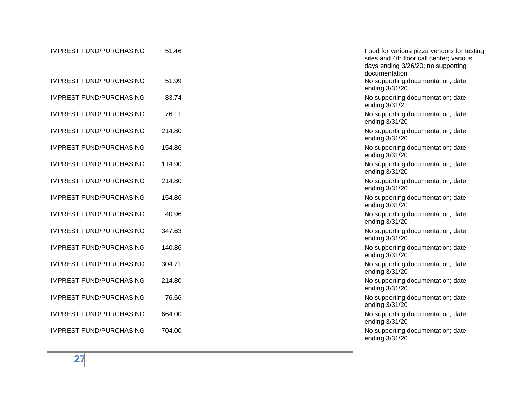| <b>IMPREST FUND/PURCHASING</b> | 51.46  | Food for various pizza vendors for testing<br>sites and 4th floor call center; various<br>days ending 3/26/20; no supporting<br>documentation |
|--------------------------------|--------|-----------------------------------------------------------------------------------------------------------------------------------------------|
| <b>IMPREST FUND/PURCHASING</b> | 51.99  | No supporting documentation; date<br>ending 3/31/20                                                                                           |
| <b>IMPREST FUND/PURCHASING</b> | 83.74  | No supporting documentation; date<br>ending 3/31/21                                                                                           |
| <b>IMPREST FUND/PURCHASING</b> | 76.11  | No supporting documentation; date<br>ending 3/31/20                                                                                           |
| <b>IMPREST FUND/PURCHASING</b> | 214.80 | No supporting documentation; date<br>ending 3/31/20                                                                                           |
| <b>IMPREST FUND/PURCHASING</b> | 154.86 | No supporting documentation; date<br>ending 3/31/20                                                                                           |
| <b>IMPREST FUND/PURCHASING</b> | 114.90 | No supporting documentation; date<br>ending 3/31/20                                                                                           |
| <b>IMPREST FUND/PURCHASING</b> | 214.80 | No supporting documentation; date<br>ending 3/31/20                                                                                           |
| <b>IMPREST FUND/PURCHASING</b> | 154.86 | No supporting documentation; date<br>ending 3/31/20                                                                                           |
| <b>IMPREST FUND/PURCHASING</b> | 40.96  | No supporting documentation; date<br>ending 3/31/20                                                                                           |
| <b>IMPREST FUND/PURCHASING</b> | 347.63 | No supporting documentation; date<br>ending 3/31/20                                                                                           |
| <b>IMPREST FUND/PURCHASING</b> | 140.86 | No supporting documentation; date<br>ending 3/31/20                                                                                           |
| <b>IMPREST FUND/PURCHASING</b> | 304.71 | No supporting documentation; date<br>ending 3/31/20                                                                                           |
| <b>IMPREST FUND/PURCHASING</b> | 214.80 | No supporting documentation; date<br>ending 3/31/20                                                                                           |
| <b>IMPREST FUND/PURCHASING</b> | 76.66  | No supporting documentation; date<br>ending 3/31/20                                                                                           |
| <b>IMPREST FUND/PURCHASING</b> | 664.00 | No supporting documentation; date<br>ending 3/31/20                                                                                           |
| <b>IMPREST FUND/PURCHASING</b> | 704.00 | No supporting documentation; date<br>ending 3/31/20                                                                                           |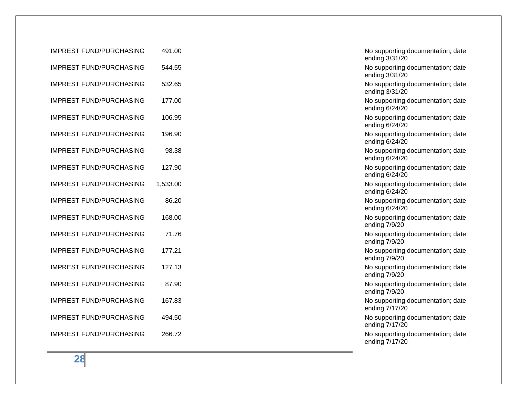| <b>IMPREST FUND/PURCHASING</b> | 491.00   | No supporting documentation; date<br>ending 3/31/20 |
|--------------------------------|----------|-----------------------------------------------------|
| <b>IMPREST FUND/PURCHASING</b> | 544.55   | No supporting documentation; date<br>ending 3/31/20 |
| <b>IMPREST FUND/PURCHASING</b> | 532.65   | No supporting documentation; date<br>ending 3/31/20 |
| <b>IMPREST FUND/PURCHASING</b> | 177.00   | No supporting documentation; date<br>ending 6/24/20 |
| <b>IMPREST FUND/PURCHASING</b> | 106.95   | No supporting documentation; date<br>ending 6/24/20 |
| <b>IMPREST FUND/PURCHASING</b> | 196.90   | No supporting documentation; date<br>ending 6/24/20 |
| <b>IMPREST FUND/PURCHASING</b> | 98.38    | No supporting documentation; date<br>ending 6/24/20 |
| <b>IMPREST FUND/PURCHASING</b> | 127.90   | No supporting documentation; date<br>ending 6/24/20 |
| <b>IMPREST FUND/PURCHASING</b> | 1,533.00 | No supporting documentation; date<br>ending 6/24/20 |
| <b>IMPREST FUND/PURCHASING</b> | 86.20    | No supporting documentation; date<br>ending 6/24/20 |
| <b>IMPREST FUND/PURCHASING</b> | 168.00   | No supporting documentation; date<br>ending 7/9/20  |
| <b>IMPREST FUND/PURCHASING</b> | 71.76    | No supporting documentation; date<br>ending 7/9/20  |
| <b>IMPREST FUND/PURCHASING</b> | 177.21   | No supporting documentation; date<br>ending 7/9/20  |
| <b>IMPREST FUND/PURCHASING</b> | 127.13   | No supporting documentation; date<br>ending 7/9/20  |
| <b>IMPREST FUND/PURCHASING</b> | 87.90    | No supporting documentation; date<br>ending 7/9/20  |
| <b>IMPREST FUND/PURCHASING</b> | 167.83   | No supporting documentation; date<br>ending 7/17/20 |
| <b>IMPREST FUND/PURCHASING</b> | 494.50   | No supporting documentation; date<br>ending 7/17/20 |
| <b>IMPREST FUND/PURCHASING</b> | 266.72   | No supporting documentation; date<br>ending 7/17/20 |